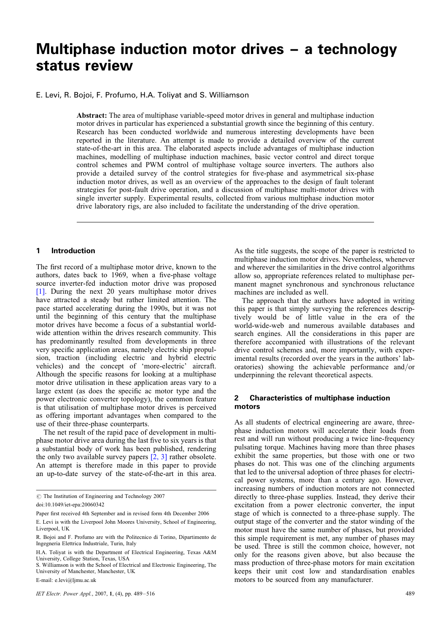# Multiphase induction motor drives – a technology status review

E. Levi, R. Bojoi, F. Profumo, H.A. Toliyat and S. Williamson

Abstract: The area of multiphase variable-speed motor drives in general and multiphase induction motor drives in particular has experienced a substantial growth since the beginning of this century. Research has been conducted worldwide and numerous interesting developments have been reported in the literature. An attempt is made to provide a detailed overview of the current state-of-the-art in this area. The elaborated aspects include advantages of multiphase induction machines, modelling of multiphase induction machines, basic vector control and direct torque control schemes and PWM control of multiphase voltage source inverters. The authors also provide a detailed survey of the control strategies for five-phase and asymmetrical six-phase induction motor drives, as well as an overview of the approaches to the design of fault tolerant strategies for post-fault drive operation, and a discussion of multiphase multi-motor drives with single inverter supply. Experimental results, collected from various multiphase induction motor drive laboratory rigs, are also included to facilitate the understanding of the drive operation.

## 1 Introduction

The first record of a multiphase motor drive, known to the authors, dates back to 1969, when a five-phase voltage source inverter-fed induction motor drive was proposed [\[1\].](#page-24-0) During the next 20 years multiphase motor drives have attracted a steady but rather limited attention. The pace started accelerating during the 1990s, but it was not until the beginning of this century that the multiphase motor drives have become a focus of a substantial worldwide attention within the drives research community. This has predominantly resulted from developments in three very specific application areas, namely electric ship propulsion, traction (including electric and hybrid electric vehicles) and the concept of 'more-electric' aircraft. Although the specific reasons for looking at a multiphase motor drive utilisation in these application areas vary to a large extent (as does the specific ac motor type and the power electronic converter topology), the common feature is that utilisation of multiphase motor drives is perceived as offering important advantages when compared to the use of their three-phase counterparts.

The net result of the rapid pace of development in multiphase motor drive area during the last five to six years is that a substantial body of work has been published, rendering the only two available survey papers  $[2, 3]$  rather obsolete. An attempt is therefore made in this paper to provide an up-to-date survey of the state-of-the-art in this area.

E. Levi is with the Liverpool John Moores University, School of Engineering, Liverpool, UK

E-mail: e.levi@ljmu.ac.uk

As the title suggests, the scope of the paper is restricted to multiphase induction motor drives. Nevertheless, whenever and wherever the similarities in the drive control algorithms allow so, appropriate references related to multiphase permanent magnet synchronous and synchronous reluctance machines are included as well.

The approach that the authors have adopted in writing this paper is that simply surveying the references descriptively would be of little value in the era of the world-wide-web and numerous available databases and search engines. All the considerations in this paper are therefore accompanied with illustrations of the relevant drive control schemes and, more importantly, with experimental results (recorded over the years in the authors' laboratories) showing the achievable performance and/or underpinning the relevant theoretical aspects.

## 2 Characteristics of multiphase induction motors

As all students of electrical engineering are aware, threephase induction motors will accelerate their loads from rest and will run without producing a twice line-frequency pulsating torque. Machines having more than three phases exhibit the same properties, but those with one or two phases do not. This was one of the clinching arguments that led to the universal adoption of three phases for electrical power systems, more than a century ago. However, increasing numbers of induction motors are not connected directly to three-phase supplies. Instead, they derive their excitation from a power electronic converter, the input stage of which is connected to a three-phase supply. The output stage of the converter and the stator winding of the motor must have the same number of phases, but provided this simple requirement is met, any number of phases may be used. Three is still the common choice, however, not only for the reasons given above, but also because the mass production of three-phase motors for main excitation keeps their unit cost low and standardisation enables motors to be sourced from any manufacturer.

 $\odot$  The Institution of Engineering and Technology 2007 doi:10.1049/iet-epa:20060342

Paper first received 4th September and in revised form 4th December 2006

R. Bojoi and F. Profumo are with the Politecnico di Torino, Dipartimento de Ingegneria Elettrica Industriale, Turin, Italy

H.A. Toliyat is with the Department of Electrical Engineering, Texas A&M University, College Station, Texas, USA

S. Williamson is with the School of Electrical and Electronic Engineering, The University of Manchester, Manchester, UK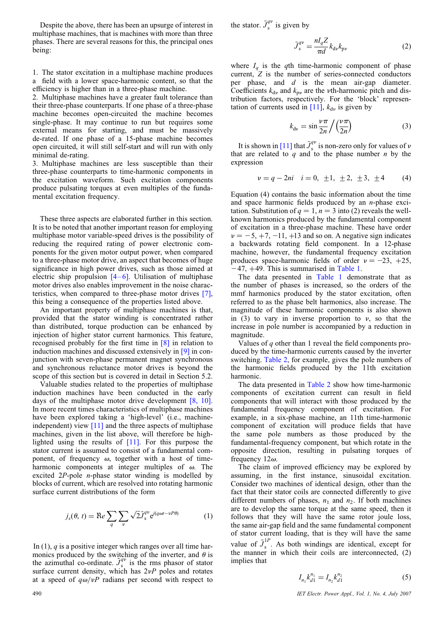Despite the above, there has been an upsurge of interest in multiphase machines, that is machines with more than three phases. There are several reasons for this, the principal ones being:

1. The stator excitation in a multiphase machine produces a field with a lower space-harmonic content, so that the efficiency is higher than in a three-phase machine.

2. Multiphase machines have a greater fault tolerance than their three-phase counterparts. If one phase of a three-phase machine becomes open-circuited the machine becomes single-phase. It may continue to run but requires some external means for starting, and must be massively de-rated. If one phase of a 15-phase machine becomes open circuited, it will still self-start and will run with only minimal de-rating.

3. Multiphase machines are less susceptible than their three-phase counterparts to time-harmonic components in the excitation waveform. Such excitation components produce pulsating torques at even multiples of the fundamental excitation frequency.

These three aspects are elaborated further in this section. It is to be noted that another important reason for employing multiphase motor variable-speed drives is the possibility of reducing the required rating of power electronic components for the given motor output power, when compared to a three-phase motor drive, an aspect that becomes of huge significance in high power drives, such as those aimed at electric ship propulsion  $[4-6]$ . Utilisation of multiphase motor drives also enables improvement in the noise characteristics, when compared to three-phase motor drives [\[7\],](#page-24-0) this being a consequence of the properties listed above.

An important property of multiphase machines is that, provided that the stator winding is concentrated rather than distributed, torque production can be enhanced by injection of higher stator current harmonics. This feature, recognised probably for the first time in [\[8\]](#page-24-0) in relation to induction machines and discussed extensively in [\[9\]](#page-24-0) in conjunction with seven-phase permanent magnet synchronous and synchronous reluctance motor drives is beyond the scope of this section but is covered in detail in Section 5.2.

Valuable studies related to the properties of multiphase induction machines have been conducted in the early days of the multiphase motor drive development  $[8, 10]$ . In more recent times characteristics of multiphase machines have been explored taking a 'high-level' (i.e., machineindependent) view  $[11]$  and the three aspects of multiphase machines, given in the list above, will therefore be highlighted using the results of [\[11\]](#page-24-0). For this purpose the stator current is assumed to consist of a fundamental component, of frequency  $\omega$ , together with a host of timeharmonic components at integer multiples of  $\omega$ . The excited  $2P$ -pole *n*-phase stator winding is modelled by blocks of current, which are resolved into rotating harmonic surface current distributions of the form

$$
j_s(\theta, t) = \text{Re}\sum_{q} \sum_{\nu} \sqrt{2} \bar{J}_s^{qv} e^{i(q\omega t - \nu P \theta)} \tag{1}
$$

In  $(1)$ ,  $q$  is a positive integer which ranges over all time harmonics produced by the switching of the inverter, and  $\theta$  is the azimuthal co-ordinate.  $\bar{J}_s^{qv}$  is the rms phasor of stator surface current density, which has  $2\nu P$  poles and rotates at a speed of  $q\omega/\nu$  radians per second with respect to the stator.  $\bar{J}_s^{qv}$  is given by

$$
\bar{J}_s^{qv} = \frac{nI_q Z}{\pi d} k_{\rm dv} k_{\rm pv} \tag{2}
$$

where  $I_q$  is the qth time-harmonic component of phase current, Z is the number of series-connected conductors per phase, and  $d$  is the mean air-gap diameter. Coefficients  $k_{\text{dv}}$  and  $k_{\text{pv}}$  are the *v*th-harmonic pitch and distribution factors, respectively. For the 'block' represen-tation of currents used in [\[11\]](#page-24-0),  $k_{dv}$  is given by

$$
k_{\rm dv} = \sin\frac{\nu\pi}{2n} \left/ \left(\frac{\nu\pi}{2n}\right) \right. \tag{3}
$$

It is shown in [\[11\]](#page-24-0) that  $\bar{J}_{\rm s}^{qv}$  is non-zero only for values of  $\nu$ that are related to q and to the phase number  $n$  by the expression

$$
\nu = q - 2ni \quad i = 0, \pm 1, \pm 2, \pm 3, \pm 4 \tag{4}
$$

Equation (4) contains the basic information about the time and space harmonic fields produced by an  $n$ -phase excitation. Substitution of  $q = 1, n = 3$  into (2) reveals the wellknown harmonics produced by the fundamental component of excitation in a three-phase machine. These have order  $\nu = -5, +7, -11, +13$  and so on. A negative sign indicates a backwards rotating field component. In a 12-phase machine, however, the fundamental frequency excitation produces space-harmonic fields of order  $v = -23, +25,$  $-47$ ,  $+49$ . This is summarised in [Table 1.](#page-2-0)

The data presented in [Table 1](#page-2-0) demonstrate that as the number of phases is increased, so the orders of the mmf harmonics produced by the stator excitation, often referred to as the phase belt harmonics, also increase. The magnitude of these harmonic components is also shown in (3) to vary in inverse proportion to  $\nu$ , so that the increase in pole number is accompanied by a reduction in magnitude.

Values of  $q$  other than 1 reveal the field components produced by the time-harmonic currents caused by the inverter switching. [Table 2,](#page-2-0) for example, gives the pole numbers of the harmonic fields produced by the 11th excitation harmonic.

The data presented in [Table 2](#page-2-0) show how time-harmonic components of excitation current can result in field components that will interact with those produced by the fundamental frequency component of excitation. For example, in a six-phase machine, an 11th time-harmonic component of excitation will produce fields that have the same pole numbers as those produced by the fundamental-frequency component, but which rotate in the opposite direction, resulting in pulsating torques of frequency  $12\omega$ .

The claim of improved efficiency may be explored by assuming, in the first instance, sinusoidal excitation. Consider two machines of identical design, other than the fact that their stator coils are connected differently to give different numbers of phases,  $n_1$  and  $n_2$ . If both machines are to develop the same torque at the same speed, then it follows that they will have the same rotor joule loss, the same air-gap field and the same fundamental component of stator current loading, that is they will have the same value of  $\bar{J}_s^{1P}$ . As both windings are identical, except for the manner in which their coils are interconnected, (2) implies that

$$
I_{n_1} k_{d1}^{n_1} = I_{n_2} k_{d1}^{n_2} \tag{5}
$$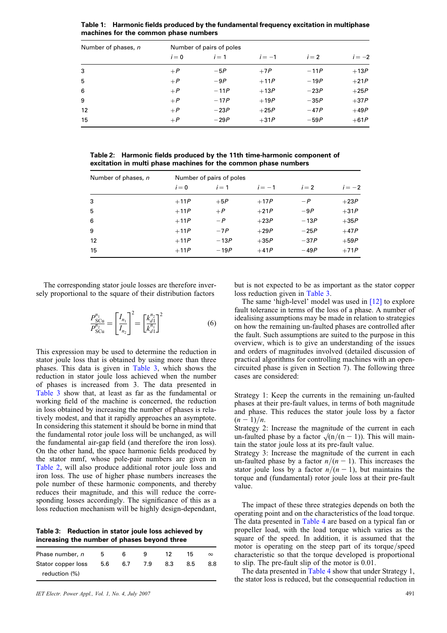<span id="page-2-0"></span>Table 1: Harmonic fields produced by the fundamental frequency excitation in multiphase machines for the common phase numbers

| Number of phases, n | Number of pairs of poles |        |        |        |        |  |  |  |
|---------------------|--------------------------|--------|--------|--------|--------|--|--|--|
|                     | $i=0$                    | $i=1$  | $i=-1$ | $i=2$  | $i=-2$ |  |  |  |
| 3                   | $+P$                     | $-5P$  | $+7P$  | $-11P$ | $+13P$ |  |  |  |
| 5                   | $+P$                     | $-9P$  | $+11P$ | $-19P$ | $+21P$ |  |  |  |
| 6                   | $+P$                     | $-11P$ | $+13P$ | $-23P$ | $+25P$ |  |  |  |
| 9                   | $+P$                     | $-17P$ | $+19P$ | $-35P$ | $+37P$ |  |  |  |
| 12                  | $+P$                     | $-23P$ | $+25P$ | $-47P$ | $+49P$ |  |  |  |
| 15                  | $+P$                     | $-29P$ | $+31P$ | $-59P$ | $+61P$ |  |  |  |

Table 2: Harmonic fields produced by the 11th time-harmonic component of excitation in multi phase machines for the common phase numbers

| Number of phases, n | Number of pairs of poles |        |        |        |        |  |  |  |
|---------------------|--------------------------|--------|--------|--------|--------|--|--|--|
|                     | $i=0$                    | $i=1$  | $i=-1$ | $i=2$  | $i=-2$ |  |  |  |
| 3                   | $+11P$                   | $+5P$  | $+17P$ | $-P$   | $+23P$ |  |  |  |
| 5                   | $+11P$                   | $+P$   | $+21P$ | $-9P$  | $+31P$ |  |  |  |
| 6                   | $+11P$                   | $-P$   | $+23P$ | $-13P$ | $+35P$ |  |  |  |
| 9                   | $+11P$                   | $-7P$  | $+29P$ | $-25P$ | $+47P$ |  |  |  |
| 12                  | $+11P$                   | $-13P$ | $+35P$ | $-37P$ | $+59P$ |  |  |  |
| 15                  | $+11P$                   | $-19P$ | $+41P$ | $-49P$ | $+71P$ |  |  |  |

The corresponding stator joule losses are therefore inversely proportional to the square of their distribution factors

$$
\frac{P_{\text{SCu}}^{n_1}}{P_{\text{SCu}}^{n_2}} = \left[\frac{I_{n_1}}{I_{n_2}}\right]^2 = \left[\frac{k_{d1}^{n_2}}{k_{d1}^{n_1}}\right]^2 \tag{6}
$$

This expression may be used to determine the reduction in stator joule loss that is obtained by using more than three phases. This data is given in Table 3, which shows the reduction in stator joule loss achieved when the number of phases is increased from 3. The data presented in Table 3 show that, at least as far as the fundamental or working field of the machine is concerned, the reduction in loss obtained by increasing the number of phases is relatively modest, and that it rapidly approaches an asymptote. In considering this statement it should be borne in mind that the fundamental rotor joule loss will be unchanged, as will the fundamental air-gap field (and therefore the iron loss). On the other hand, the space harmonic fields produced by the stator mmf, whose pole-pair numbers are given in Table 2, will also produce additional rotor joule loss and iron loss. The use of higher phase numbers increases the pole number of these harmonic components, and thereby reduces their magnitude, and this will reduce the corresponding losses accordingly. The significance of this as a loss reduction mechanism will be highly design-dependant,

Table 3: Reduction in stator joule loss achieved by increasing the number of phases beyond three

| Phase number, n    | b   | 6   | 9   | 12  | 15  | $\infty$ |
|--------------------|-----|-----|-----|-----|-----|----------|
| Stator copper loss | 5.6 | 6.7 | 7.9 | 8.3 | 8.5 | 8.8      |
| reduction (%)      |     |     |     |     |     |          |

but is not expected to be as important as the stator copper loss reduction given in Table 3.

The same 'high-level' model was used in [\[12\]](#page-24-0) to explore fault tolerance in terms of the loss of a phase. A number of idealising assumptions may be made in relation to strategies on how the remaining un-faulted phases are controlled after the fault. Such assumptions are suited to the purpose in this overview, which is to give an understanding of the issues and orders of magnitudes involved (detailed discussion of practical algorithms for controlling machines with an opencircuited phase is given in Section 7). The following three cases are considered:

Strategy 1: Keep the currents in the remaining un-faulted phases at their pre-fault values, in terms of both magnitude and phase. This reduces the stator joule loss by a factor  $(n - 1)/n$ .

Strategy 2: Increase the magnitude of the current in each un-faulted phase by a factor  $\sqrt{(n/(n - 1))}$ . This will maintain the stator joule loss at its pre-fault value.

Strategy 3: Increase the magnitude of the current in each un-faulted phase by a factor  $n/(n - 1)$ . This increases the stator joule loss by a factor  $n/(n - 1)$ , but maintains the torque and (fundamental) rotor joule loss at their pre-fault value.

The impact of these three strategies depends on both the operating point and on the characteristics of the load torque. The data presented in [Table 4](#page-3-0) are based on a typical fan or propeller load, with the load torque which varies as the square of the speed. In addition, it is assumed that the motor is operating on the steep part of its torque/speed characteristic so that the torque developed is proportional to slip. The pre-fault slip of the motor is 0.01.

The data presented in [Table 4](#page-3-0) show that under Strategy 1, the stator loss is reduced, but the consequential reduction in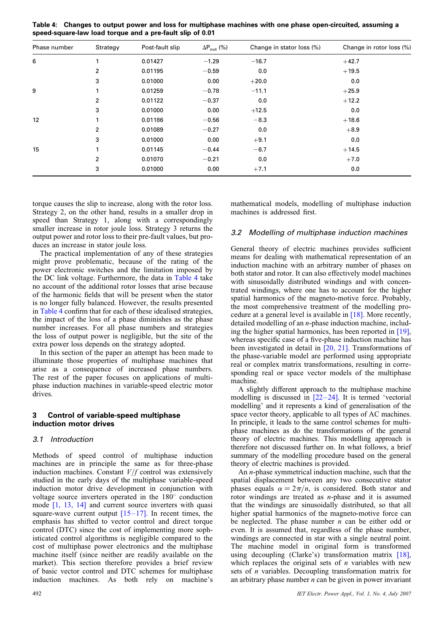<span id="page-3-0"></span>Table 4: Changes to output power and loss for multiphase machines with one phase open-circuited, assuming a speed-square-law load torque and a pre-fault slip of 0.01

| Phase number | Strategy       | Post-fault slip | $\Delta P_{\rm out}$ (%) | Change in stator loss (%) | Change in rotor loss (%) |
|--------------|----------------|-----------------|--------------------------|---------------------------|--------------------------|
| 6            |                | 0.01427         | $-1.29$                  | $-16.7$                   | $+42.7$                  |
|              | $\overline{2}$ | 0.01195         | $-0.59$                  | 0.0                       | $+19.5$                  |
|              | 3              | 0.01000         | 0.00                     | $+20.0$                   | 0.0                      |
| 9            |                | 0.01259         | $-0.78$                  | $-11.1$                   | $+25.9$                  |
|              | $\overline{2}$ | 0.01122         | $-0.37$                  | 0.0                       | $+12.2$                  |
|              | 3              | 0.01000         | 0.00                     | $+12.5$                   | 0.0                      |
| 12           |                | 0.01186         | $-0.56$                  | $-8.3$                    | $+18.6$                  |
|              | $\overline{2}$ | 0.01089         | $-0.27$                  | 0.0                       | $+8.9$                   |
|              | 3              | 0.01000         | 0.00                     | $+9.1$                    | 0.0                      |
| 15           |                | 0.01145         | $-0.44$                  | $-6.7$                    | $+14.5$                  |
|              | $\overline{2}$ | 0.01070         | $-0.21$                  | 0.0                       | $+7.0$                   |
|              | 3              | 0.01000         | 0.00                     | $+7.1$                    | 0.0                      |

torque causes the slip to increase, along with the rotor loss. Strategy 2, on the other hand, results in a smaller drop in speed than Strategy 1, along with a correspondingly smaller increase in rotor joule loss. Strategy 3 returns the output power and rotor loss to their pre-fault values, but produces an increase in stator joule loss.

The practical implementation of any of these strategies might prove problematic, because of the rating of the power electronic switches and the limitation imposed by the DC link voltage. Furthermore, the data in Table 4 take no account of the additional rotor losses that arise because of the harmonic fields that will be present when the stator is no longer fully balanced. However, the results presented in Table 4 confirm that for each of these idealised strategies, the impact of the loss of a phase diminishes as the phase number increases. For all phase numbers and strategies the loss of output power is negligible, but the site of the extra power loss depends on the strategy adopted.

In this section of the paper an attempt has been made to illuminate those properties of multiphase machines that arise as a consequence of increased phase numbers. The rest of the paper focuses on applications of multiphase induction machines in variable-speed electric motor drives.

## Control of variable-speed multiphase induction motor drives

## 3.1 Introduction

Methods of speed control of multiphase induction machines are in principle the same as for three-phase induction machines. Constant  $V/f$  control was extensively studied in the early days of the multiphase variable-speed induction motor drive development in conjunction with voltage source inverters operated in the  $180^\circ$  conduction mode [\[1](#page-24-0), [13, 14\]](#page-24-0) and current source inverters with quasi square-wave current output  $[15-17]$ . In recent times, the emphasis has shifted to vector control and direct torque control (DTC) since the cost of implementing more sophisticated control algorithms is negligible compared to the cost of multiphase power electronics and the multiphase machine itself (since neither are readily available on the market). This section therefore provides a brief review of basic vector control and DTC schemes for multiphase induction machines. As both rely on machine's

mathematical models, modelling of multiphase induction machines is addressed first.

## 3.2 Modelling of multiphase induction machines

General theory of electric machines provides sufficient means for dealing with mathematical representation of an induction machine with an arbitrary number of phases on both stator and rotor. It can also effectively model machines with sinusoidally distributed windings and with concentrated windings, where one has to account for the higher spatial harmonics of the magneto-motive force. Probably, the most comprehensive treatment of the modelling procedure at a general level is available in  $[18]$ . More recently, detailed modelling of an n-phase induction machine, including the higher spatial harmonics, has been reported in [\[19\],](#page-24-0) whereas specific case of a five-phase induction machine has been investigated in detail in [\[20, 21\]](#page-24-0). Transformations of the phase-variable model are performed using appropriate real or complex matrix transformations, resulting in corresponding real or space vector models of the multiphase machine.

A slightly different approach to the multiphase machine modelling is discussed in  $[22-24]$ . It is termed 'vectorial modelling' and it represents a kind of generalisation of the space vector theory, applicable to all types of AC machines. In principle, it leads to the same control schemes for multiphase machines as do the transformations of the general theory of electric machines. This modelling approach is therefore not discussed further on. In what follows, a brief summary of the modelling procedure based on the general theory of electric machines is provided.

An n-phase symmetrical induction machine, such that the spatial displacement between any two consecutive stator phases equals  $\alpha = 2\pi/n$ , is considered. Both stator and rotor windings are treated as  $n$ -phase and it is assumed that the windings are sinusoidally distributed, so that all higher spatial harmonics of the magneto-motive force can be neglected. The phase number  $n$  can be either odd or even. It is assumed that, regardless of the phase number, windings are connected in star with a single neutral point. The machine model in original form is transformed using decoupling (Clarke's) transformation matrix [\[18\],](#page-24-0) which replaces the original sets of  $n$  variables with new sets of  $n$  variables. Decoupling transformation matrix for an arbitrary phase number  $n$  can be given in power invariant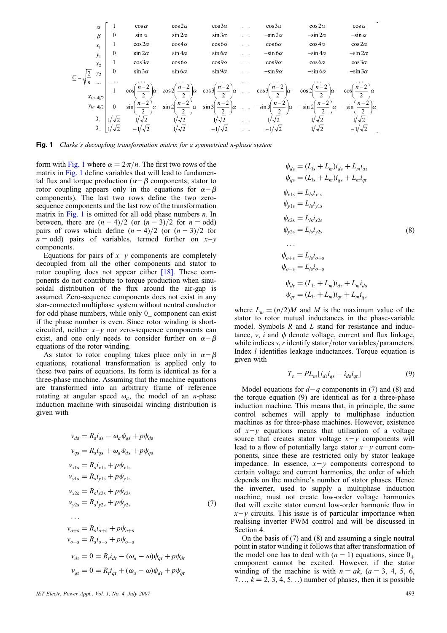<span id="page-4-0"></span>
$$
\alpha \begin{bmatrix}\n1 & \cos \alpha & \cos 2\alpha & \cos 3\alpha & \dots & \cos 3\alpha & \cos 2\alpha & \cos \alpha \\
0 & \sin \alpha & \sin 2\alpha & \sin 3\alpha & \dots & -\sin 3\alpha & -\sin 2\alpha & -\sin \alpha \\
1 & \cos 2\alpha & \cos 4\alpha & \cos 6\alpha & \dots & \cos 6\alpha & \cos 4\alpha & \cos 2\alpha \\
y_1 & 0 & \sin 2\alpha & \sin 4\alpha & \sin 6\alpha & \dots & -\sin 6\alpha & -\sin 4\alpha & -\sin 2\alpha \\
x_2 & 1 & \cos 3\alpha & \cos 6\alpha & \cos 9\alpha & \dots & \cos 9\alpha & \cos 6\alpha & \cos 3\alpha \\
\frac{x_2}{n} & \frac{1}{n} & \frac{1}{n} & \frac{1}{n} & \frac{1}{n} & \frac{1}{n} & \frac{1}{n} & \frac{1}{n} & \frac{1}{n} & \frac{1}{n} & \frac{1}{n} & \frac{1}{n} & \frac{1}{n} & \frac{1}{n} & \frac{1}{n} & \frac{1}{n} & \frac{1}{n} & \frac{1}{n} & \frac{1}{n} & \frac{1}{n} & \frac{1}{n} & \frac{1}{n} & \frac{1}{n} & \frac{1}{n} & \frac{1}{n} & \frac{1}{n} & \frac{1}{n} & \frac{1}{n} & \frac{1}{n} & \frac{1}{n} & \frac{1}{n} & \frac{1}{n} & \frac{1}{n} & \frac{1}{n} & \frac{1}{n} & \frac{1}{n} & \frac{1}{n} & \frac{1}{n} & \frac{1}{n} & \frac{1}{n} & \frac{1}{n} & \frac{1}{n} & \frac{1}{n} & \frac{1}{n} & \frac{1}{n} & \frac{1}{n} & \frac{1}{n} & \frac{1}{n} & \frac{1}{n} & \frac{1}{n} & \frac{1}{n} & \frac{1}{n} & \frac{1}{n} & \frac{1}{n} & \frac{1}{n} & \frac{1}{n} & \frac{1}{n} & \frac{1}{n} & \frac{1}{n} & \frac{1}{n} & \frac{1}{n} & \frac{1}{n} & \frac{1}{n} & \frac{
$$

**Fig. 1** Clarke's decoupling transformation matrix for a symmetrical n-phase system

form with Fig. 1 where  $\alpha = 2\pi/n$ . The first two rows of the matrix in Fig. 1 define variables that will lead to fundamental flux and torque production ( $\alpha-\beta$  components; stator to rotor coupling appears only in the equations for  $\alpha-\beta$ components). The last two rows define the two zerosequence components and the last row of the transformation matrix in Fig. 1 is omitted for all odd phase numbers  $n$ . In between, there are  $(n - 4)/2$  (or  $(n - 3)/2$  for  $n =$  odd) pairs of rows which define  $(n - 4)/2$  (or  $(n - 3)/2$  for  $n = odd$  pairs of variables, termed further on  $x-y$ components.

Equations for pairs of  $x-y$  components are completely decoupled from all the other components and stator to rotor coupling does not appear either [\[18\].](#page-24-0) These components do not contribute to torque production when sinusoidal distribution of the flux around the air-gap is assumed. Zero-sequence components does not exist in any star-connected multiphase system without neutral conductor for odd phase numbers, while only 0\_ component can exist if the phase number is even. Since rotor winding is shortcircuited, neither  $x-y$  nor zero-sequence components can exist, and one only needs to consider further on  $\alpha - \beta$ equations of the rotor winding.

As stator to rotor coupling takes place only in  $\alpha-\beta$ equations, rotational transformation is applied only to these two pairs of equations. Its form is identical as for a three-phase machine. Assuming that the machine equations are transformed into an arbitrary frame of reference rotating at angular speed  $\omega_a$ , the model of an *n*-phase induction machine with sinusoidal winding distribution is given with

$$
v_{ds} = R_s i_{ds} - \omega_a \psi_{qs} + p \psi_{ds}
$$
  
\n
$$
v_{qs} = R_s i_{qs} + \omega_a \psi_{ds} + p \psi_{qs}
$$
  
\n
$$
v_{x1s} = R_s i_{x1s} + p \psi_{x1s}
$$
  
\n
$$
v_{y1s} = R_s i_{y1s} + p \psi_{y1s}
$$
  
\n
$$
v_{x2s} = R_s i_{x2s} + p \psi_{x2s}
$$
  
\n
$$
v_{y2s} = R_s i_{y2s} + p \psi_{y2s}
$$
  
\n
$$
\dots
$$
  
\n
$$
v_{o+s} = R_s i_{o+s} + p \psi_{o+s}
$$
  
\n
$$
v_{o-s} = R_s i_{o-s} + p \psi_{o-s}
$$
  
\n
$$
v_{dr} = 0 = R_r i_{dr} - (\omega_a - \omega) \psi_{qr} + p \psi_{dr}
$$
  
\n
$$
v_{qr} = 0 = R_r i_{qr} + (\omega_a - \omega) \psi_{dr} + p \psi_{qr}
$$

$$
\psi_{ds} = (L_{ls} + L_m)i_{ds} + L_m i_{dr}
$$
  
\n
$$
\psi_{qs} = (L_{ls} + L_m)i_{qs} + L_m i_{qr}
$$
  
\n
$$
\psi_{x1s} = L_{ls}i_{x1s}
$$
  
\n
$$
\psi_{y1s} = L_{ls}i_{y1s}
$$
  
\n
$$
\psi_{x2s} = L_{ls}i_{x2s}
$$
  
\n
$$
\psi_{y2s} = L_{ls}i_{y2s}
$$
  
\n
$$
\psi_{o+s} = L_{ls}i_{o+s}
$$
  
\n
$$
\psi_{o-s} = L_{ls}i_{o-s}
$$
  
\n
$$
\psi_{dr} = (L_{lr} + L_m)i_{dr} + L_m i_{ds}
$$
  
\n
$$
\psi_{qr} = (L_{lr} + L_m)i_{qr} + L_m i_{qs}
$$

where  $L_m = (n/2)M$  and M is the maximum value of the stator to rotor mutual inductances in the phase-variable model. Symbols  $R$  and  $L$  stand for resistance and inductance,  $v$ , *i* and  $\psi$  denote voltage, current and flux linkage, while indices  $s$ , r identify stator/rotor variables/parameters. Index *l* identifies leakage inductances. Torque equation is given with

$$
T_e = PL_m \lfloor i_{dr} i_{qs} - i_{ds} i_{qr} \rfloor \tag{9}
$$

Model equations for  $d-q$  components in (7) and (8) and the torque equation (9) are identical as for a three-phase induction machine. This means that, in principle, the same control schemes will apply to multiphase induction machines as for three-phase machines. However, existence of  $x-y$  equations means that utilisation of a voltage source that creates stator voltage  $x-y$  components will lead to a flow of potentially large stator  $x-y$  current components, since these are restricted only by stator leakage impedance. In essence,  $x-y$  components correspond to certain voltage and current harmonics, the order of which depends on the machine's number of stator phases. Hence the inverter, used to supply a multiphase induction machine, must not create low-order voltage harmonics that will excite stator current low-order harmonic flow in  $x-y$  circuits. This issue is of particular importance when realising inverter PWM control and will be discussed in Section 4.

On the basis of (7) and (8) and assuming a single neutral point in stator winding it follows that after transformation of the model one has to deal with  $(n - 1)$  equations, since  $0_+$ component cannot be excited. However, if the stator winding of the machine is with  $n = ak$ ,  $(a = 3, 4, 5, 6, ...)$ 7...,  $k = 2, 3, 4, 5$ ...) number of phases, then it is possible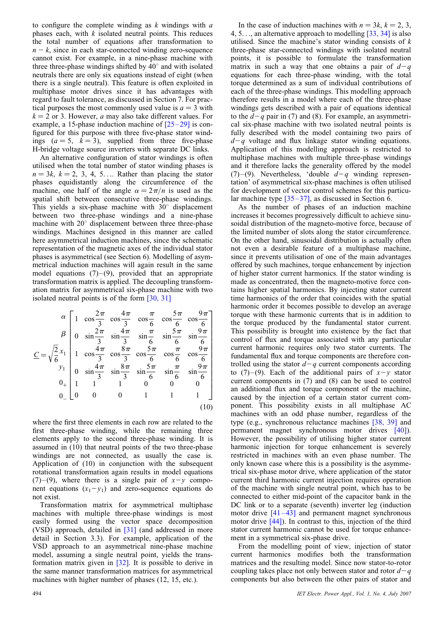to configure the complete winding as  $k$  windings with  $a$ phases each, with  $k$  isolated neutral points. This reduces the total number of equations after transformation to  $n - k$ , since in each star-connected winding zero-sequence cannot exist. For example, in a nine-phase machine with three three-phase windings shifted by  $40^{\circ}$  and with isolated neutrals there are only six equations instead of eight (when there is a single neutral). This feature is often exploited in multiphase motor drives since it has advantages with regard to fault tolerance, as discussed in Section 7. For practical purposes the most commonly used value is  $a = 3$  with  $k = 2$  or 3. However, *a* may also take different values. For example, a 15-phase induction machine of  $[25-29]$  is configured for this purpose with three five-phase stator windings  $(a = 5, k = 3)$ , supplied from three five-phase H-bridge voltage source inverters with separate DC links.

An alternative configuration of stator windings is often utilised when the total number of stator winding phases is  $n = 3k$ ,  $k = 2, 3, 4, 5...$  Rather than placing the stator phases equidistantly along the circumference of the machine, one half of the angle  $\alpha = 2\pi/n$  is used as the spatial shift between consecutive three-phase windings. This yields a six-phase machine with  $30^{\circ}$  displacement between two three-phase windings and a nine-phase machine with  $20^{\circ}$  displacement between three three-phase windings. Machines designed in this manner are called here asymmetrical induction machines, since the schematic representation of the magnetic axes of the individual stator phases is asymmetrical (see Section 6). Modelling of asymmetrical induction machines will again result in the same model equations  $(7)$ – $(9)$ , provided that an appropriate transformation matrix is applied. The decoupling transformation matrix for asymmetrical six-phase machine with two isolated neutral points is of the form [\[30, 31\]](#page-25-0)

$$
\alpha = \sqrt{\frac{2}{6}} \begin{bmatrix} 1 & \cos\frac{2\pi}{3} & \cos\frac{4\pi}{3} & \cos\frac{\pi}{6} & \cos\frac{5\pi}{6} & \cos\frac{9\pi}{6} \\ 0 & \sin\frac{2\pi}{3} & \sin\frac{4\pi}{3} & \sin\frac{\pi}{6} & \sin\frac{5\pi}{6} & \sin\frac{9\pi}{6} \\ 1 & \cos\frac{4\pi}{3} & \cos\frac{8\pi}{3} & \cos\frac{5\pi}{6} & \cos\frac{\pi}{6} & \cos\frac{9\pi}{6} \\ y_1 & 0 & \sin\frac{4\pi}{3} & \sin\frac{8\pi}{3} & \sin\frac{5\pi}{6} & \sin\frac{\pi}{6} & \sin\frac{9\pi}{6} \\ 0_+ & 1 & 1 & 1 & 0 & 0 & 0 \\ 0 & 0 & 0 & 1 & 1 & 1 \end{bmatrix}
$$
\n(10)

where the first three elements in each row are related to the first three-phase winding, while the remaining three elements apply to the second three-phase winding. It is assumed in (10) that neutral points of the two three-phase windings are not connected, as usually the case is. Application of (10) in conjunction with the subsequent rotational transformation again results in model equations  $(7)$ – $(9)$ , where there is a single pair of  $x-y$  component equations  $(x_1-y_1)$  and zero-sequence equations do not exist.

Transformation matrix for asymmetrical multiphase machines with multiple three-phase windings is most easily formed using the vector space decomposition (VSD) approach, detailed in [\[31\]](#page-25-0) (and addressed in more detail in Section 3.3). For example, application of the VSD approach to an asymmetrical nine-phase machine model, assuming a single neutral point, yields the transformation matrix given in [\[32\]](#page-25-0). It is possible to derive in the same manner transformation matrices for asymmetrical machines with higher number of phases (12, 15, etc.).

In the case of induction machines with  $n = 3k$ ,  $k = 2, 3$ , 4, 5..., an alternative approach to modelling  $[33, 34]$  is also utilised. Since the machine's stator winding consists of  $k$ three-phase star-connected windings with isolated neutral points, it is possible to formulate the transformation matrix in such a way that one obtains a pair of  $d-q$ equations for each three-phase winding, with the total torque determined as a sum of individual contributions of each of the three-phase windings. This modelling approach therefore results in a model where each of the three-phase windings gets described with a pair of equations identical to the  $d-q$  pair in (7) and (8). For example, an asymmetrical six-phase machine with two isolated neutral points is fully described with the model containing two pairs of  $d-q$  voltage and flux linkage stator winding equations. Application of this modelling approach is restricted to multiphase machines with multiple three-phase windings and it therefore lacks the generality offered by the model (7)–(9). Nevertheless, 'double  $d-q$  winding representation' of asymmetrical six-phase machines is often utilised for development of vector control schemes for this particular machine type  $[35-37]$ , as discussed in Section 6.

As the number of phases of an induction machine increases it becomes progressively difficult to achieve sinusoidal distribution of the magneto-motive force, because of the limited number of slots along the stator circumference. On the other hand, sinusoidal distribution is actually often not even a desirable feature of a multiphase machine, since it prevents utilisation of one of the main advantages offered by such machines, torque enhancement by injection of higher stator current harmonics. If the stator winding is made as concentrated, then the magneto-motive force contains higher spatial harmonics. By injecting stator current time harmonics of the order that coincides with the spatial harmonic order it becomes possible to develop an average torque with these harmonic currents that is in addition to the torque produced by the fundamental stator current. This possibility is brought into existence by the fact that control of flux and torque associated with any particular current harmonic requires only two stator currents. The fundamental flux and torque components are therefore controlled using the stator  $d-q$  current components according to (7)–(9). Each of the additional pairs of  $x-y$  stator current components in (7) and (8) can be used to control an additional flux and torque component of the machine, caused by the injection of a certain stator current component. This possibility exists in all multiphase AC machines with an odd phase number, regardless of the type (e.g., synchronous reluctance machines [\[38, 39\]](#page-25-0) and permanent magnet synchronous motor drives [\[40\]](#page-25-0)). However, the possibility of utilising higher stator current harmonic injection for torque enhancement is severely restricted in machines with an even phase number. The only known case where this is a possibility is the asymmetrical six-phase motor drive, where application of the stator current third harmonic current injection requires operation of the machine with single neutral point, which has to be connected to either mid-point of the capacitor bank in the DC link or to a separate (seventh) inverter leg (induction motor drive  $[41-43]$  and permanent magnet synchronous motor drive [\[44\]](#page-25-0)). In contrast to this, injection of the third stator current harmonic cannot be used for torque enhancement in a symmetrical six-phase drive.

From the modelling point of view, injection of stator current harmonics modifies both the transformation matrices and the resulting model. Since now stator-to-rotor coupling takes place not only between stator and rotor  $d-q$ components but also between the other pairs of stator and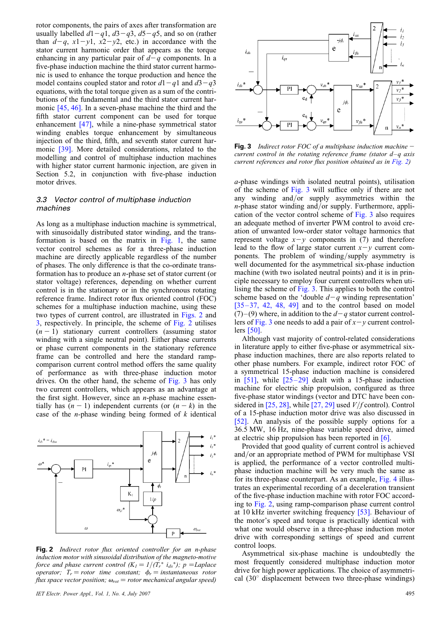<span id="page-6-0"></span>rotor components, the pairs of axes after transformation are usually labelled  $d1-q1$ ,  $d3-q3$ ,  $d5-q5$ , and so on (rather than  $d-q$ ,  $x1-y1$ ,  $x2-y2$ , etc.) in accordance with the stator current harmonic order that appears as the torque enhancing in any particular pair of  $d-q$  components. In a five-phase induction machine the third stator current harmonic is used to enhance the torque production and hence the model contains coupled stator and rotor  $d1-q1$  and  $d3-q3$ equations, with the total torque given as a sum of the contributions of the fundamental and the third stator current harmonic [\[45, 46\].](#page-25-0) In a seven-phase machine the third and the fifth stator current component can be used for torque enhancement [\[47\]](#page-25-0), while a nine-phase symmetrical stator winding enables torque enhancement by simultaneous injection of the third, fifth, and seventh stator current harmonic [\[39\].](#page-25-0) More detailed considerations, related to the modelling and control of multiphase induction machines with higher stator current harmonic injection, are given in Section 5.2, in conjunction with five-phase induction motor drives.

## 3.3 Vector control of multiphase induction machines

As long as a multiphase induction machine is symmetrical, with sinusoidally distributed stator winding, and the transformation is based on the matrix in [Fig. 1,](#page-4-0) the same vector control schemes as for a three-phase induction machine are directly applicable regardless of the number of phases. The only difference is that the co-ordinate transformation has to produce an n-phase set of stator current (or stator voltage) references, depending on whether current control is in the stationary or in the synchronous rotating reference frame. Indirect rotor flux oriented control (FOC) schemes for a multiphase induction machine, using these two types of current control, are illustrated in Figs. 2 and 3, respectively. In principle, the scheme of Fig. 2 utilises  $(n - 1)$  stationary current controllers (assuming stator winding with a single neutral point). Either phase currents or phase current components in the stationary reference frame can be controlled and here the standard rampcomparison current control method offers the same quality of performance as with three-phase induction motor drives. On the other hand, the scheme of Fig. 3 has only two current controllers, which appears as an advantage at the first sight. However, since an  $n$ -phase machine essentially has  $(n - 1)$  independent currents (or  $(n - k)$  in the case of the *n*-phase winding being formed of  $k$  identical



Fig. 2 Indirect rotor flux oriented controller for an n-phase induction motor with sinusoidal distribution of the magneto-motive force and phase current control  $(K_I = 1/(T_r^* \, i_{ds}^*); p = Laplace)$ operator;  $T_r$  = rotor time constant;  $\phi_r$  = instantaneous rotor flux space vector position;  $\omega_{rot} =$  rotor mechanical angular speed)

IET Electr. Power Appl., Vol. 1, No. 4, July 2007 495



**Fig. 3** Indirect rotor FOC of a multiphase induction machine  $$ current control in the rotating reference frame (stator  $d - q$  axis current references and rotor flux position obtained as in Fig. 2)

a-phase windings with isolated neutral points), utilisation of the scheme of Fig. 3 will suffice only if there are not any winding and/or supply asymmetries within the  $n$ -phase stator winding and/or supply. Furthermore, application of the vector control scheme of Fig. 3 also requires an adequate method of inverter PWM control to avoid creation of unwanted low-order stator voltage harmonics that represent voltage  $x-y$  components in (7) and therefore lead to the flow of large stator current  $x-y$  current components. The problem of winding/supply asymmetry is well documented for the asymmetrical six-phase induction machine (with two isolated neutral points) and it is in principle necessary to employ four current controllers when utilising the scheme of Fig. 3. This applies to both the control scheme based on the 'double  $d-q$  winding representation'  $[35 - 37, 42, 48, 49]$  $[35 - 37, 42, 48, 49]$  and to the control based on model  $(7)$  – (9) where, in addition to the  $d-q$  stator current controllers of Fig. 3 one needs to add a pair of  $x-y$  current controllers [\[50\]](#page-25-0).

Although vast majority of control-related considerations in literature apply to either five-phase or asymmetrical sixphase induction machines, there are also reports related to other phase numbers. For example, indirect rotor FOC of a symmetrical 15-phase induction machine is considered in  $[51]$ , while  $[25-29]$  dealt with a 15-phase induction machine for electric ship propulsion, configured as three five-phase stator windings (vector and DTC have been considered in  $[25, 28]$ , while  $[27, 29]$  used  $V/f$  control). Control of a 15-phase induction motor drive was also discussed in [\[52\].](#page-25-0) An analysis of the possible supply options for a 36.5 MW, 16 Hz, nine-phase variable speed drive, aimed at electric ship propulsion has been reported in [\[6\].](#page-24-0)

Provided that good quality of current control is achieved and/or an appropriate method of PWM for multiphase VSI is applied, the performance of a vector controlled multiphase induction machine will be very much the same as for its three-phase counterpart. As an example, [Fig. 4](#page-7-0) illustrates an experimental recording of a deceleration transient of the five-phase induction machine with rotor FOC according to Fig. 2, using ramp-comparison phase current control at 10 kHz inverter switching frequency [\[53\].](#page-25-0) Behaviour of the motor's speed and torque is practically identical with what one would observe in a three-phase induction motor drive with corresponding settings of speed and current control loops.

Asymmetrical six-phase machine is undoubtedly the most frequently considered multiphase induction motor drive for high power applications. The choice of asymmetrical  $(30^{\circ}$  displacement between two three-phase windings)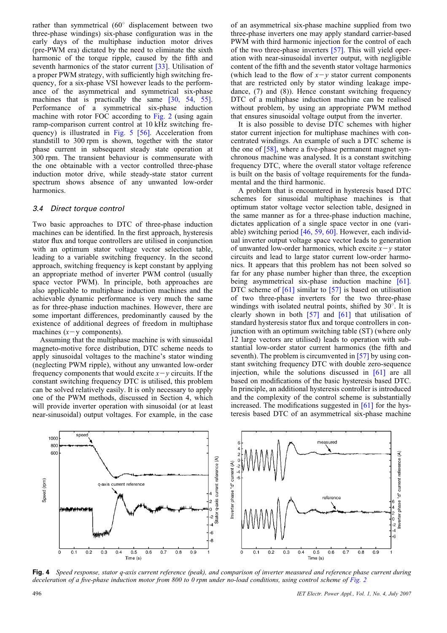<span id="page-7-0"></span>rather than symmetrical  $(60^{\circ}$  displacement between two three-phase windings) six-phase configuration was in the early days of the multiphase induction motor drives (pre-PWM era) dictated by the need to eliminate the sixth harmonic of the torque ripple, caused by the fifth and seventh harmonics of the stator current [\[33\]](#page-25-0). Utilisation of a proper PWM strategy, with sufficiently high switching frequency, for a six-phase VSI however leads to the performance of the asymmetrical and symmetrical six-phase machines that is practically the same [\[30](#page-25-0), [54, 55\]](#page-25-0). Performance of a symmetrical six-phase induction machine with rotor FOC according to [Fig. 2](#page-6-0) (using again ramp-comparison current control at 10 kHz switching frequency) is illustrated in [Fig. 5](#page-8-0) [\[56\]](#page-25-0). Acceleration from standstill to 300 rpm is shown, together with the stator phase current in subsequent steady state operation at 300 rpm. The transient behaviour is commensurate with the one obtainable with a vector controlled three-phase induction motor drive, while steady-state stator current spectrum shows absence of any unwanted low-order harmonics.

#### 3.4 Direct torque control

Two basic approaches to DTC of three-phase induction machines can be identified. In the first approach, hysteresis stator flux and torque controllers are utilised in conjunction with an optimum stator voltage vector selection table, leading to a variable switching frequency. In the second approach, switching frequency is kept constant by applying an appropriate method of inverter PWM control (usually space vector PWM). In principle, both approaches are also applicable to multiphase induction machines and the achievable dynamic performance is very much the same as for three-phase induction machines. However, there are some important differences, predominantly caused by the existence of additional degrees of freedom in multiphase machines  $(x-y$  components).

Assuming that the multiphase machine is with sinusoidal magneto-motive force distribution, DTC scheme needs to apply sinusoidal voltages to the machine's stator winding (neglecting PWM ripple), without any unwanted low-order frequency components that would excite  $x-y$  circuits. If the constant switching frequency DTC is utilised, this problem can be solved relatively easily. It is only necessary to apply one of the PWM methods, discussed in Section 4, which will provide inverter operation with sinusoidal (or at least near-sinusoidal) output voltages. For example, in the case

of an asymmetrical six-phase machine supplied from two three-phase inverters one may apply standard carrier-based PWM with third harmonic injection for the control of each of the two three-phase inverters [\[57\]](#page-25-0). This will yield operation with near-sinusoidal inverter output, with negligible content of the fifth and the seventh stator voltage harmonics (which lead to the flow of  $x-y$  stator current components that are restricted only by stator winding leakage impedance, (7) and (8)). Hence constant switching frequency DTC of a multiphase induction machine can be realised without problem, by using an appropriate PWM method that ensures sinusoidal voltage output from the inverter.

It is also possible to devise DTC schemes with higher stator current injection for multiphase machines with concentrated windings. An example of such a DTC scheme is the one of [\[58\],](#page-25-0) where a five-phase permanent magnet synchronous machine was analysed. It is a constant switching frequency DTC, where the overall stator voltage reference is built on the basis of voltage requirements for the fundamental and the third harmonic.

A problem that is encountered in hysteresis based DTC schemes for sinusoidal multiphase machines is that optimum stator voltage vector selection table, designed in the same manner as for a three-phase induction machine, dictates application of a single space vector in one (variable) switching period [\[46, 59, 60\]](#page-25-0). However, each individual inverter output voltage space vector leads to generation of unwanted low-order harmonics, which excite  $x-y$  stator circuits and lead to large stator current low-order harmonics. It appears that this problem has not been solved so far for any phase number higher than three, the exception being asymmetrical six-phase induction machine [\[61\].](#page-25-0) DTC scheme of [\[61\]](#page-25-0) similar to [\[57\]](#page-25-0) is based on utilisation of two three-phase inverters for the two three-phase windings with isolated neutral points, shifted by  $30^\circ$ . It is clearly shown in both [\[57\]](#page-25-0) and [\[61\]](#page-25-0) that utilisation of standard hysteresis stator flux and torque controllers in conjunction with an optimum switching table (ST) (where only 12 large vectors are utilised) leads to operation with substantial low-order stator current harmonics (the fifth and seventh). The problem is circumvented in [\[57\]](#page-25-0) by using constant switching frequency DTC with double zero-sequence injection, while the solutions discussed in [\[61\]](#page-25-0) are all based on modifications of the basic hysteresis based DTC. In principle, an additional hysteresis controller is introduced and the complexity of the control scheme is substantially increased. The modifications suggested in [\[61\]](#page-25-0) for the hysteresis based DTC of an asymmetrical six-phase machine



Fig. 4 Speed response, stator q-axis current reference (peak), and comparison of inverter measured and reference phase current during deceleration of a five-phase induction motor from 800 to 0 rpm under no-load conditions, using control scheme of [Fig. 2](#page-6-0)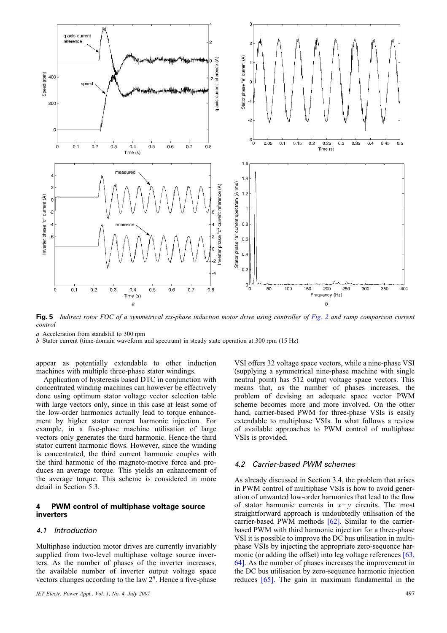<span id="page-8-0"></span>

Fig. 5 Indirect rotor FOC of a symmetrical six-phase induction motor drive using controller of [Fig. 2](#page-6-0) and ramp comparison current control

 $a$  Acceleration from standstill to 300 rpm

b Stator current (time-domain waveform and spectrum) in steady state operation at 300 rpm (15 Hz)

appear as potentially extendable to other induction machines with multiple three-phase stator windings.

Application of hysteresis based DTC in conjunction with concentrated winding machines can however be effectively done using optimum stator voltage vector selection table with large vectors only, since in this case at least some of the low-order harmonics actually lead to torque enhancement by higher stator current harmonic injection. For example, in a five-phase machine utilisation of large vectors only generates the third harmonic. Hence the third stator current harmonic flows. However, since the winding is concentrated, the third current harmonic couples with the third harmonic of the magneto-motive force and produces an average torque. This yields an enhancement of the average torque. This scheme is considered in more detail in Section 5.3.

## 4 PWM control of multiphase voltage source inverters

## 4.1 Introduction

Multiphase induction motor drives are currently invariably supplied from two-level multiphase voltage source inverters. As the number of phases of the inverter increases, the available number of inverter output voltage space vectors changes according to the law  $2^n$ . Hence a five-phase

VSI offers 32 voltage space vectors, while a nine-phase VSI (supplying a symmetrical nine-phase machine with single neutral point) has 512 output voltage space vectors. This means that, as the number of phases increases, the problem of devising an adequate space vector PWM scheme becomes more and more involved. On the other hand, carrier-based PWM for three-phase VSIs is easily extendable to multiphase VSIs. In what follows a review of available approaches to PWM control of multiphase VSIs is provided.

## 4.2 Carrier-based PWM schemes

As already discussed in Section 3.4, the problem that arises in PWM control of multiphase VSIs is how to avoid generation of unwanted low-order harmonics that lead to the flow of stator harmonic currents in  $x-y$  circuits. The most straightforward approach is undoubtedly utilisation of the carrier-based PWM methods [\[62\]](#page-25-0). Similar to the carrierbased PWM with third harmonic injection for a three-phase VSI it is possible to improve the DC bus utilisation in multiphase VSIs by injecting the appropriate zero-sequence harmonic (or adding the offset) into leg voltage references [\[63,](#page-25-0) [64\]](#page-25-0). As the number of phases increases the improvement in the DC bus utilisation by zero-sequence harmonic injection reduces [\[65\]](#page-25-0). The gain in maximum fundamental in the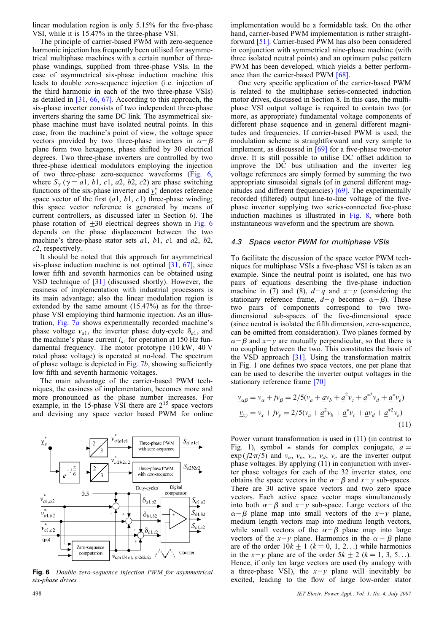linear modulation region is only 5.15% for the five-phase VSI, while it is 15.47% in the three-phase VSI.

The principle of carrier-based PWM with zero-sequence harmonic injection has frequently been utilised for asymmetrical multiphase machines with a certain number of threephase windings, supplied from three-phase VSIs. In the case of asymmetrical six-phase induction machine this leads to double zero-sequence injection (i.e. injection of the third harmonic in each of the two three-phase VSIs) as detailed in [\[31, 66, 67\].](#page-25-0) According to this approach, the six-phase inverter consists of two independent three-phase inverters sharing the same DC link. The asymmetrical sixphase machine must have isolated neutral points. In this case, from the machine's point of view, the voltage space vectors provided by two three-phase inverters in  $\alpha-\beta$ plane form two hexagons, phase shifted by 30 electrical degrees. Two three-phase inverters are controlled by two three-phase identical modulators employing the injection of two three-phase zero-sequence waveforms (Fig. 6, where  $S_{\gamma}$  ( $\gamma = a_1$ , b1, c1, a2, b2, c2) are phase switching functions of the six-phase inverter and  $v_s^*$  denotes reference space vector of the first  $(a1, b1, c1)$  three-phase winding; this space vector reference is generated by means of current controllers, as discussed later in Section 6). The phase rotation of  $\pm 30$  electrical degrees shown in Fig. 6 depends on the phase displacement between the two machine's three-phase stator sets  $a1$ ,  $b1$ ,  $c1$  and  $a2$ ,  $b2$ , c2, respectively.

It should be noted that this approach for asymmetrical six-phase induction machine is not optimal [\[31](#page-25-0), [67\]](#page-25-0), since lower fifth and seventh harmonics can be obtained using VSD technique of [\[31\]](#page-25-0) (discussed shortly). However, the easiness of implementation with industrial processors is its main advantage; also the linear modulation region is extended by the same amount (15.47%) as for the threephase VSI employing third harmonic injection. As an illustration, [Fig. 7](#page-10-0)a shows experimentally recorded machine's phase voltage  $v_{a1}$ , the inverter phase duty-cycle  $\delta_{a1}$ , and the machine's phase current  $i_{a1}$  for operation at 150 Hz fundamental frequency. The motor prototype (10 kW, 40 V rated phase voltage) is operated at no-load. The spectrum of phase voltage is depicted in Fig.  $7b$ , showing sufficiently low fifth and seventh harmonic voltages.

The main advantage of the carrier-based PWM techniques, the easiness of implementation, becomes more and more pronounced as the phase number increases. For example, in the 15-phase VSI there are  $2^{15}$  space vectors and devising any space vector based PWM for online



Fig. 6 Double zero-sequence injection PWM for asymmetrical six-phase drives

implementation would be a formidable task. On the other hand, carrier-based PWM implementation is rather straightforward [\[51\]](#page-25-0). Carrier-based PWM has also been considered in conjunction with symmetrical nine-phase machine (with three isolated neutral points) and an optimum pulse pattern PWM has been developed, which yields a better performance than the carrier-based PWM [\[68\].](#page-25-0)

One very specific application of the carrier-based PWM is related to the multiphase series-connected induction motor drives, discussed in Section 8. In this case, the multiphase VSI output voltage is required to contain two (or more, as appropriate) fundamental voltage components of different phase sequence and in general different magnitudes and frequencies. If carrier-based PWM is used, the modulation scheme is straightforward and very simple to implement, as discussed in  $\lceil 69 \rceil$  for a five-phase two-motor drive. It is still possible to utilise DC offset addition to improve the DC bus utilisation and the inverter leg voltage references are simply formed by summing the two appropriate sinusoidal signals (of in general different magnitudes and different frequencies) [\[69\].](#page-25-0) The experimentally recorded (filtered) output line-to-line voltage of the fivephase inverter supplying two series-connected five-phase induction machines is illustrated in [Fig. 8,](#page-10-0) where both instantaneous waveform and the spectrum are shown.

#### 4.3 Space vector PWM for multiphase VSIs

To facilitate the discussion of the space vector PWM techniques for multiphase VSIs a five-phase VSI is taken as an example. Since the neutral point is isolated, one has two pairs of equations describing the five-phase induction machine in (7) and (8),  $d-q$  and  $x-y$  (considering the stationary reference frame,  $d-q$  becomes  $\alpha-\beta$ ). These two pairs of components correspond to two twodimensional sub-spaces of the five-dimensional space (since neutral is isolated the fifth dimension, zero-sequence, can be omitted from consideration). Two planes formed by  $\alpha-\beta$  and  $x-y$  are mutually perpendicular, so that there is no coupling between the two. This constitutes the basis of the VSD approach [\[31\].](#page-25-0) Using the transformation matrix in Fig. 1 one defines two space vectors, one per plane that can be used to describe the inverter output voltages in the stationary reference frame [\[70\]](#page-25-0)

$$
\underline{v}_{\alpha\beta} = v_{\alpha} + jv_{\beta} = 2/5(v_a + \underline{a}v_b + \underline{a}^2v_c + \underline{a}^{*2}v_d + \underline{a}^*v_e)
$$
  

$$
\underline{v}_{xy} = v_x + jv_y = 2/5(v_a + \underline{a}^2v_b + \underline{a}^*v_c + \underline{a}v_d + \underline{a}^{*2}v_e)
$$
\n(11)

Power variant transformation is used in (11) (in contrast to Fig. 1), symbol  $*$  stands for complex conjugate,  $a =$  $\exp(j2\pi/5)$  and  $v_a$ ,  $v_b$ ,  $v_c$ ,  $v_d$ ,  $v_e$  are the inverter output phase voltages. By applying (11) in conjunction with inverter phase voltages for each of the 32 inverter states, one obtains the space vectors in the  $\alpha-\beta$  and  $x-y$  sub-spaces. There are 30 active space vectors and two zero space vectors. Each active space vector maps simultaneously into both  $\alpha-\beta$  and  $x-y$  sub-space. Large vectors of the  $\alpha-\beta$  plane map into small vectors of the  $x-y$  plane, medium length vectors map into medium length vectors, while small vectors of the  $\alpha-\beta$  plane map into large vectors of the  $x-y$  plane. Harmonics in the  $\alpha - \beta$  plane are of the order  $10k + 1$  ( $k = 0, 1, 2...$ ) while harmonics in the  $x-y$  plane are of the order  $5k + 2$  ( $k = 1, 3, 5...$ ). Hence, if only ten large vectors are used (by analogy with a three-phase VSI), the  $x-y$  plane will inevitably be excited, leading to the flow of large low-order stator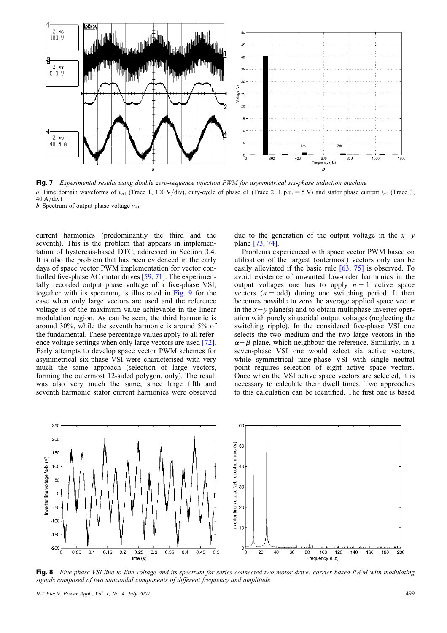<span id="page-10-0"></span>

Fig. 7 Experimental results using double zero-sequence injection PWM for asymmetrical six-phase induction machine a Time domain waveforms of  $v_{a1}$  (Trace 1, 100 V/div), duty-cycle of phase a1 (Trace 2, 1 p.u. = 5 V) and stator phase current  $i_{a1}$  (Trace 3,  $40$  A/div) b Spectrum of output phase voltage  $v_{a1}$ 

current harmonics (predominantly the third and the seventh). This is the problem that appears in implementation of hysteresis-based DTC, addressed in Section 3.4. It is also the problem that has been evidenced in the early days of space vector PWM implementation for vector controlled five-phase AC motor drives [\[59, 71\].](#page-25-0) The experimentally recorded output phase voltage of a five-phase VSI, together with its spectrum, is illustrated in [Fig. 9](#page-11-0) for the case when only large vectors are used and the reference voltage is of the maximum value achievable in the linear modulation region. As can be seen, the third harmonic is around 30%, while the seventh harmonic is around 5% of the fundamental. These percentage values apply to all reference voltage settings when only large vectors are used [\[72\].](#page-26-0) Early attempts to develop space vector PWM schemes for asymmetrical six-phase VSI were characterised with very much the same approach (selection of large vectors, forming the outermost 12-sided polygon, only). The result was also very much the same, since large fifth and seventh harmonic stator current harmonics were observed

due to the generation of the output voltage in the  $x-y$ plane [\[73, 74\]](#page-26-0).

Problems experienced with space vector PWM based on utilisation of the largest (outermost) vectors only can be easily alleviated if the basic rule [\[63,](#page-25-0) [75\]](#page-26-0) is observed. To avoid existence of unwanted low-order harmonics in the output voltages one has to apply  $n - 1$  active space vectors  $(n = odd)$  during one switching period. It then becomes possible to zero the average applied space vector in the  $x-y$  plane(s) and to obtain multiphase inverter operation with purely sinusoidal output voltages (neglecting the switching ripple). In the considered five-phase VSI one selects the two medium and the two large vectors in the  $\alpha-\beta$  plane, which neighbour the reference. Similarly, in a seven-phase VSI one would select six active vectors, while symmetrical nine-phase VSI with single neutral point requires selection of eight active space vectors. Once when the VSI active space vectors are selected, it is necessary to calculate their dwell times. Two approaches to this calculation can be identified. The first one is based



Fig. 8 Five-phase VSI line-to-line voltage and its spectrum for series-connected two-motor drive: carrier-based PWM with modulating signals composed of two sinusoidal components of different frequency and amplitude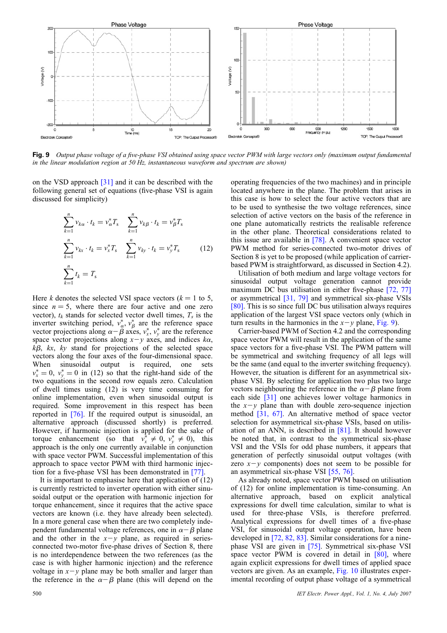<span id="page-11-0"></span>

Fig. 9 Output phase voltage of a five-phase VSI obtained using space vector PWM with large vectors only (maximum output fundamental in the linear modulation region at 50 Hz, instantaneous waveform and spectrum are shown)

on the VSD approach [\[31\]](#page-25-0) and it can be described with the following general set of equations (five-phase VSI is again discussed for simplicity)

$$
\sum_{k=1}^{n} v_{k\alpha} \cdot t_k = v_{\alpha}^* T_s \quad \sum_{k=1}^{n} v_{k\beta} \cdot t_k = v_{\beta}^* T_s
$$
  

$$
\sum_{k=1}^{n} v_{k\alpha} \cdot t_k = v_x^* T_s \quad \sum_{k=1}^{n} v_{k\gamma} \cdot t_k = v_y^* T_s
$$
 (12)  

$$
\sum_{k=1}^{n} t_k = T_s
$$

Here k denotes the selected VSI space vectors ( $k = 1$  to 5, since  $n = 5$ , where there are four active and one zero vector),  $t_k$  stands for selected vector dwell times,  $T_s$  is the inverter switching period,  $v_{\alpha}^*$ ,  $v_{\beta}^*$  are the reference space vector projections along  $\alpha - \beta$  axes,  $v_x^*$ ,  $v_y^*$  are the reference space vector projections along  $x-y$  axes, and indices  $k\alpha$ ,  $k\beta$ , kx, ky stand for projections of the selected space vectors along the four axes of the four-dimensional space. When sinusoidal output is required, one sets  $v_x^* = 0$ ,  $v_y^* = 0$  in (12) so that the right-hand side of the two equations in the second row equals zero. Calculation of dwell times using (12) is very time consuming for online implementation, even when sinusoidal output is required. Some improvement in this respect has been reported in [\[76\].](#page-26-0) If the required output is sinusoidal, an alternative approach (discussed shortly) is preferred. However, if harmonic injection is applied for the sake of torque enhancement (so that  $v_x^* \neq 0$ ,  $v_y^* \neq 0$ ), this approach is the only one currently available in conjunction with space vector PWM. Successful implementation of this approach to space vector PWM with third harmonic injection for a five-phase VSI has been demonstrated in [\[77\]](#page-26-0).

It is important to emphasise here that application of (12) is currently restricted to inverter operation with either sinusoidal output or the operation with harmonic injection for torque enhancement, since it requires that the active space vectors are known (i.e. they have already been selected). In a more general case when there are two completely independent fundamental voltage references, one in  $\alpha - \beta$  plane and the other in the  $x-y$  plane, as required in seriesconnected two-motor five-phase drives of Section 8, there is no interdependence between the two references (as the case is with higher harmonic injection) and the reference voltage in  $x-y$  plane may be both smaller and larger than the reference in the  $\alpha-\beta$  plane (this will depend on the operating frequencies of the two machines) and in principle located anywhere in the plane. The problem that arises in this case is how to select the four active vectors that are to be used to synthesise the two voltage references, since selection of active vectors on the basis of the reference in one plane automatically restricts the realisable reference in the other plane. Theoretical considerations related to this issue are available in [\[78\]](#page-26-0). A convenient space vector PWM method for series-connected two-motor drives of Section 8 is yet to be proposed (while application of carrierbased PWM is straightforward, as discussed in Section 4.2).

Utilisation of both medium and large voltage vectors for sinusoidal output voltage generation cannot provide maximum DC bus utilisation in either five-phase [\[72, 77\]](#page-26-0) or asymmetrical [\[31,](#page-25-0) [79\]](#page-26-0) and symmetrical six-phase VSIs [\[80\].](#page-26-0) This is so since full DC bus utilisation always requires application of the largest VSI space vectors only (which in turn results in the harmonics in the  $x-y$  plane, Fig. 9).

Carrier-based PWM of Section 4.2 and the corresponding space vector PWM will result in the application of the same space vectors for a five-phase VSI. The PWM pattern will be symmetrical and switching frequency of all legs will be the same (and equal to the inverter switching frequency). However, the situation is different for an asymmetrical sixphase VSI. By selecting for application two plus two large vectors neighbouring the reference in the  $\alpha-\beta$  plane from each side [\[31\]](#page-25-0) one achieves lower voltage harmonics in the  $x-y$  plane than with double zero-sequence injection method [\[31](#page-25-0), [67\].](#page-25-0) An alternative method of space vector selection for asymmetrical six-phase VSIs, based on utilisation of an ANN, is described in [\[81\].](#page-26-0) It should however be noted that, in contrast to the symmetrical six-phase VSI and the VSIs for odd phase numbers, it appears that generation of perfectly sinusoidal output voltages (with zero  $x-y$  components) does not seem to be possible for an asymmetrical six-phase VSI [\[55,](#page-25-0) [76\]](#page-26-0).

As already noted, space vector PWM based on utilisation of (12) for online implementation is time-consuming. An alternative approach, based on explicit analytical expressions for dwell time calculation, similar to what is used for three-phase VSIs, is therefore preferred. Analytical expressions for dwell times of a five-phase VSI, for sinusoidal output voltage operation, have been developed in [\[72, 82, 83\]](#page-26-0). Similar considerations for a ninephase VSI are given in [\[75\].](#page-26-0) Symmetrical six-phase VSI space vector PWM is covered in detail in  $[80]$ , where again explicit expressions for dwell times of applied space vectors are given. As an example, [Fig. 10](#page-12-0) illustrates experimental recording of output phase voltage of a symmetrical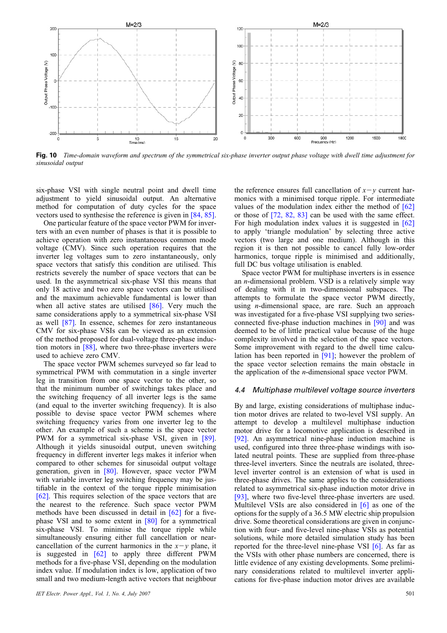<span id="page-12-0"></span>

Fig. 10 Time-domain waveform and spectrum of the symmetrical six-phase inverter output phase voltage with dwell time adjustment for sinusoidal output

six-phase VSI with single neutral point and dwell time adjustment to yield sinusoidal output. An alternative method for computation of duty cycles for the space vectors used to synthesise the reference is given in [\[84, 85\].](#page-26-0)

One particular feature of the space vector PWM for inverters with an even number of phases is that it is possible to achieve operation with zero instantaneous common mode voltage (CMV). Since such operation requires that the inverter leg voltages sum to zero instantaneously, only space vectors that satisfy this condition are utilised. This restricts severely the number of space vectors that can be used. In the asymmetrical six-phase VSI this means that only 18 active and two zero space vectors can be utilised and the maximum achievable fundamental is lower than when all active states are utilised  $[86]$ . Very much the same considerations apply to a symmetrical six-phase VSI as well [\[87\]](#page-26-0). In essence, schemes for zero instantaneous CMV for six-phase VSIs can be viewed as an extension of the method proposed for dual-voltage three-phase induction motors in [\[88\],](#page-26-0) where two three-phase inverters were used to achieve zero CMV.

The space vector PWM schemes surveyed so far lead to symmetrical PWM with commutation in a single inverter leg in transition from one space vector to the other, so that the minimum number of switchings takes place and the switching frequency of all inverter legs is the same (and equal to the inverter switching frequency). It is also possible to devise space vector PWM schemes where switching frequency varies from one inverter leg to the other. An example of such a scheme is the space vector PWM for a symmetrical six-phase VSI, given in [\[89\].](#page-26-0) Although it yields sinusoidal output, uneven switching frequency in different inverter legs makes it inferior when compared to other schemes for sinusoidal output voltage generation, given in [\[80\].](#page-26-0) However, space vector PWM with variable inverter leg switching frequency may be justifiable in the context of the torque ripple minimisation [\[62\].](#page-25-0) This requires selection of the space vectors that are the nearest to the reference. Such space vector PWM methods have been discussed in detail in [\[62\]](#page-25-0) for a fivephase VSI and to some extent in [\[80\]](#page-26-0) for a symmetrical six-phase VSI. To minimise the torque ripple while simultaneously ensuring either full cancellation or nearcancellation of the current harmonics in the  $x-y$  plane, it is suggested in [\[62\]](#page-25-0) to apply three different PWM methods for a five-phase VSI, depending on the modulation index value. If modulation index is low, application of two small and two medium-length active vectors that neighbour the reference ensures full cancellation of  $x-y$  current harmonics with a minimised torque ripple. For intermediate values of the modulation index either the method of [\[62\]](#page-25-0) or those of [\[72, 82, 83\]](#page-26-0) can be used with the same effect. For high modulation index values it is suggested in [\[62\]](#page-25-0) to apply 'triangle modulation' by selecting three active vectors (two large and one medium). Although in this region it is then not possible to cancel fully low-order harmonics, torque ripple is minimised and additionally, full DC bus voltage utilisation is enabled.

Space vector PWM for multiphase inverters is in essence an  $n$ -dimensional problem. VSD is a relatively simple way of dealing with it in two-dimensional subspaces. The attempts to formulate the space vector PWM directly, using n-dimensional space, are rare. Such an approach was investigated for a five-phase VSI supplying two seriesconnected five-phase induction machines in [\[90\]](#page-26-0) and was deemed to be of little practical value because of the huge complexity involved in the selection of the space vectors. Some improvement with regard to the dwell time calculation has been reported in [\[91\];](#page-26-0) however the problem of the space vector selection remains the main obstacle in the application of the n-dimensional space vector PWM.

#### 4.4 Multiphase multilevel voltage source inverters

By and large, existing considerations of multiphase induction motor drives are related to two-level VSI supply. An attempt to develop a multilevel multiphase induction motor drive for a locomotive application is described in [\[92\].](#page-26-0) An asymmetrical nine-phase induction machine is used, configured into three three-phase windings with isolated neutral points. These are supplied from three-phase three-level inverters. Since the neutrals are isolated, threelevel inverter control is an extension of what is used in three-phase drives. The same applies to the considerations related to asymmetrical six-phase induction motor drive in [\[93\],](#page-26-0) where two five-level three-phase inverters are used. Multilevel VSIs are also considered in [\[6\]](#page-24-0) as one of the options for the supply of a 36.5 MW electric ship propulsion drive. Some theoretical considerations are given in conjunction with four- and five-level nine-phase VSIs as potential solutions, while more detailed simulation study has been reported for the three-level nine-phase VSI [\[6\]](#page-24-0). As far as the VSIs with other phase numbers are concerned, there is little evidence of any existing developments. Some preliminary considerations related to multilevel inverter applications for five-phase induction motor drives are available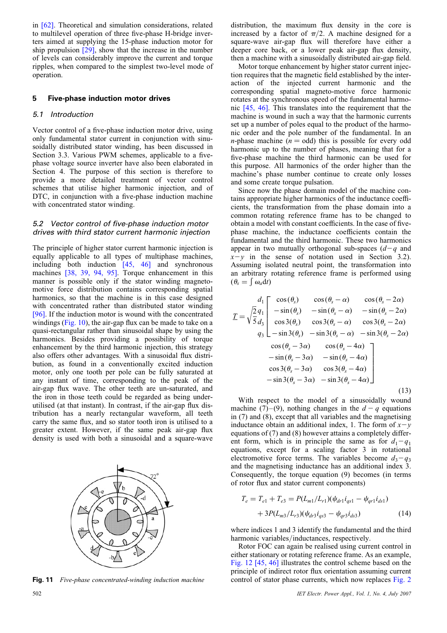in [\[62\]](#page-25-0). Theoretical and simulation considerations, related to multilevel operation of three five-phase H-bridge inverters aimed at supplying the 15-phase induction motor for ship propulsion [\[29\],](#page-25-0) show that the increase in the number of levels can considerably improve the current and torque ripples, when compared to the simplest two-level mode of operation.

### 5 Five-phase induction motor drives

#### 5.1 Introduction

Vector control of a five-phase induction motor drive, using only fundamental stator current in conjunction with sinusoidally distributed stator winding, has been discussed in Section 3.3. Various PWM schemes, applicable to a fivephase voltage source inverter have also been elaborated in Section 4. The purpose of this section is therefore to provide a more detailed treatment of vector control schemes that utilise higher harmonic injection, and of DTC, in conjunction with a five-phase induction machine with concentrated stator winding.

## 5.2 Vector control of five-phase induction motor drives with third stator current harmonic injection

The principle of higher stator current harmonic injection is equally applicable to all types of multiphase machines, including both induction [\[45, 46\]](#page-25-0) and synchronous machines [\[38, 39](#page-25-0), [94, 95\].](#page-26-0) Torque enhancement in this manner is possible only if the stator winding magnetomotive force distribution contains corresponding spatial harmonics, so that the machine is in this case designed with concentrated rather than distributed stator winding [\[96\].](#page-26-0) If the induction motor is wound with the concentrated windings ([Fig. 10\)](#page-12-0), the air-gap flux can be made to take on a quasi-rectangular rather than sinusoidal shape by using the harmonics. Besides providing a possibility of torque enhancement by the third harmonic injection, this strategy also offers other advantages. With a sinusoidal flux distribution, as found in a conventionally excited induction motor, only one tooth per pole can be fully saturated at any instant of time, corresponding to the peak of the air-gap flux wave. The other teeth are un-saturated, and the iron in those teeth could be regarded as being underutilised (at that instant). In contrast, if the air-gap flux distribution has a nearly rectangular waveform, all teeth carry the same flux, and so stator tooth iron is utilised to a greater extent. However, if the same peak air-gap flux density is used with both a sinusoidal and a square-wave



distribution, the maximum flux density in the core is increased by a factor of  $\pi/2$ . A machine designed for a square-wave air-gap flux will therefore have either a deeper core back, or a lower peak air-gap flux density, then a machine with a sinusoidally distributed air-gap field.

Motor torque enhancement by higher stator current injection requires that the magnetic field established by the interaction of the injected current harmonic and the corresponding spatial magneto-motive force harmonic rotates at the synchronous speed of the fundamental harmonic [\[45, 46\].](#page-25-0) This translates into the requirement that the machine is wound in such a way that the harmonic currents set up a number of poles equal to the product of the harmonic order and the pole number of the fundamental. In an *n*-phase machine ( $n =$  odd) this is possible for every odd harmonic up to the number of phases, meaning that for a five-phase machine the third harmonic can be used for this purpose. All harmonics of the order higher than the machine's phase number continue to create only losses and some create torque pulsation.

Since now the phase domain model of the machine contains appropriate higher harmonics of the inductance coefficients, the transformation from the phase domain into a common rotating reference frame has to be changed to obtain a model with constant coefficients. In the case of fivephase machine, the inductance coefficients contain the fundamental and the third harmonic. These two harmonics appear in two mutually orthogonal sub-spaces  $(d-q)$  and  $x-y$  in the sense of notation used in Section 3.2). Assuming isolated neutral point, the transformation into an arbitrary rotating reference frame is performed using an aroluary<br>  $(\theta_s = \int \omega_a dt)$ 

$$
\mathcal{I} = \sqrt{\frac{2}{5}} \frac{q_1}{d_3} \begin{bmatrix} \cos(\theta_s) & \cos(\theta_s - \alpha) & \cos(\theta_s - 2\alpha) \\ -\sin(\theta_s) & -\sin(\theta_s - \alpha) & -\sin(\theta_s - 2\alpha) \\ \cos 3(\theta_s) & \cos 3(\theta_s - \alpha) & \cos 3(\theta_s - 2\alpha) \\ -\sin 3(\theta_s) & -\sin 3(\theta_s - \alpha) & -\sin 3(\theta_s - 2\alpha) \\ \cos(\theta_s - 3\alpha) & \cos(\theta_s - 4\alpha) \\ -\sin(\theta_s - 3\alpha) & -\sin(\theta_s - 4\alpha) \\ \cos 3(\theta_s - 3\alpha) & \cos 3(\theta_s - 4\alpha) \\ -\sin 3(\theta_s - 3\alpha) & -\sin 3(\theta_s - 4\alpha) \end{bmatrix}
$$
\n(13)

With respect to the model of a sinusoidally wound machine (7)–(9), nothing changes in the  $d - q$  equations in (7) and (8), except that all variables and the magnetising inductance obtain an additional index, 1. The form of  $x-y$ equations of (7) and (8) however attains a completely different form, which is in principle the same as for  $d_1 - q_1$ equations, except for a scaling factor 3 in rotational electromotive force terms. The variables become  $d_3 - q_3$ and the magnetising inductance has an additional index 3. Consequently, the torque equation (9) becomes (in terms of rotor flux and stator current components)

$$
T_e = T_{e1} + T_{e3} = P(L_{m1}/L_{r1})(\psi_{dr1}i_{qs1} - \psi_{qr1}i_{ds1})
$$

$$
+ 3P(L_{m3}/L_{r3})(\psi_{dr3}i_{gs3} - \psi_{qr3}i_{ds3})
$$
(14)

where indices 1 and 3 identify the fundamental and the third harmonic variables/inductances, respectively.

Rotor FOC can again be realised using current control in either stationary or rotating reference frame. As an example, [Fig. 12](#page-14-0) [\[45, 46\]](#page-25-0) illustrates the control scheme based on the principle of indirect rotor flux orientation assuming current Fig. 11 Five-phase concentrated-winding induction machine control of stator phase currents, which now replaces [Fig. 2](#page-6-0)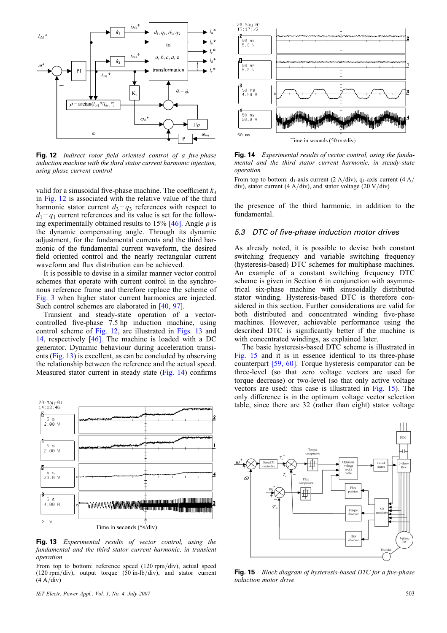<span id="page-14-0"></span>

Fig. 12 Indirect rotor field oriented control of a five-phase induction machine with the third stator current harmonic injection, using phase current control

valid for a sinusoidal five-phase machine. The coefficient  $k_3$ in Fig. 12 is associated with the relative value of the third harmonic stator current  $d_3 - q_3$  references with respect to  $d_1 - q_1$  current references and its value is set for the follow-ing experimentally obtained results to 15% [\[46\]](#page-25-0). Angle  $\rho$  is the dynamic compensating angle. Through its dynamic adjustment, for the fundamental currents and the third harmonic of the fundamental current waveform, the desired field oriented control and the nearly rectangular current waveform and flux distribution can be achieved.

It is possible to devise in a similar manner vector control schemes that operate with current control in the synchronous reference frame and therefore replace the scheme of [Fig. 3](#page-6-0) when higher stator current harmonics are injected. Such control schemes are elaborated in [\[40,](#page-25-0) [97\]](#page-26-0).

Transient and steady-state operation of a vectorcontrolled five-phase 7.5 hp induction machine, using control scheme of Fig. 12, are illustrated in Figs. 13 and 14, respectively [\[46\].](#page-25-0) The machine is loaded with a DC generator. Dynamic behaviour during acceleration transients (Fig. 13) is excellent, as can be concluded by observing the relationship between the reference and the actual speed. Measured stator current in steady state (Fig. 14) confirms



Fig. 13 Experimental results of vector control, using the fundamental and the third stator current harmonic, in transient operation

From top to bottom: reference speed (120 rpm/div), actual speed (120 rpm/div), output torque  $(50 \text{ in-lb}/\text{div})$ , and stator current  $(4 A/div)$ 

IET Electr. Power Appl., Vol. 1, No. 4, July 2007 503



Fig. 14 Experimental results of vector control, using the fundamental and the third stator current harmonic, in steady-state operation

From top to bottom:  $d_1$ -axis current (2 A/div),  $q_1$ -axis current (4 A/ div), stator current (4 A/div), and stator voltage  $(20 V/div)$ 

the presence of the third harmonic, in addition to the fundamental.

#### 5.3 DTC of five-phase induction motor drives

As already noted, it is possible to devise both constant switching frequency and variable switching frequency (hysteresis-based) DTC schemes for multiphase machines. An example of a constant switching frequency DTC scheme is given in Section 6 in conjunction with asymmetrical six-phase machine with sinusoidally distributed stator winding. Hysteresis-based DTC is therefore considered in this section. Further considerations are valid for both distributed and concentrated winding five-phase machines. However, achievable performance using the described DTC is significantly better if the machine is with concentrated windings, as explained later.

The basic hysteresis-based DTC scheme is illustrated in Fig. 15 and it is in essence identical to its three-phase counterpart [\[59, 60\]](#page-25-0). Torque hysteresis comparator can be three-level (so that zero voltage vectors are used for torque decrease) or two-level (so that only active voltage vectors are used: this case is illustrated in Fig. 15). The only difference is in the optimum voltage vector selection table, since there are 32 (rather than eight) stator voltage



Fig. 15 Block diagram of hysteresis-based DTC for a five-phase induction motor drive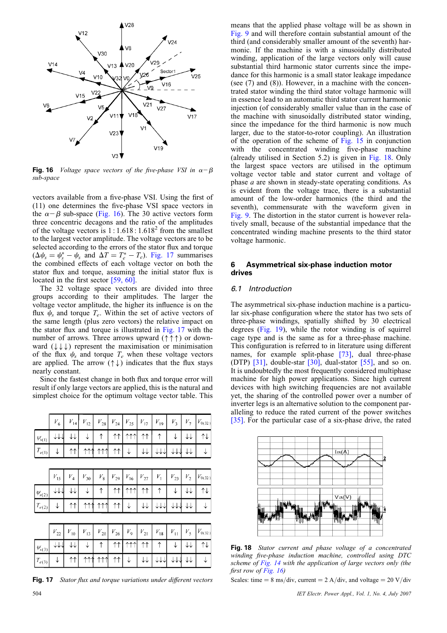

**Fig. 16** Voltage space vectors of the five-phase VSI in  $\alpha - \beta$ sub-space

vectors available from a five-phase VSI. Using the first of (11) one determines the five-phase VSI space vectors in the  $\alpha-\beta$  sub-space (Fig. 16). The 30 active vectors form three concentric decagons and the ratio of the amplitudes of the voltage vectors is  $1:1.618:1.618^2$  from the smallest to the largest vector amplitude. The voltage vectors are to be selected according to the errors of the stator flux and torque  $(\Delta \psi_s = \psi_s^* - \psi_s$  and  $\Delta T = T_e^* - T_e$ ). Fig. 17 summarises the combined effects of each voltage vector on both the stator flux and torque, assuming the initial stator flux is located in the first sector [\[59, 60\].](#page-25-0)

The 32 voltage space vectors are divided into three groups according to their amplitudes. The larger the voltage vector amplitude, the higher its influence is on the flux  $\psi_s$  and torque  $T_e$ . Within the set of active vectors of the same length (plus zero vectors) the relative impact on the stator flux and torque is illustrated in Fig. 17 with the number of arrows. Three arrows upward  $(\uparrow \uparrow \uparrow)$  or downward  $(\downarrow \downarrow \downarrow)$  represent the maximisation or minimisation of the flux  $\psi_s$  and torque  $T_e$  when these voltage vectors are applied. The arrow  $(\uparrow \downarrow)$  indicates that the flux stays nearly constant.

Since the fastest change in both flux and torque error will result if only large vectors are applied, this is the natural and simplest choice for the optimum voltage vector table. This

|                         | $V_{6}$                            | $V_{14}$               | $V_{\rm 12}$        | $V_{28}$    | $V_{\rm 24}$        | $V_{25}$                     | $V_{17}$               | $V_{19}$ | $V_3$    | $V_7$                  | $V_{0(32)}$          |
|-------------------------|------------------------------------|------------------------|---------------------|-------------|---------------------|------------------------------|------------------------|----------|----------|------------------------|----------------------|
| $\mathcal{V}_{s(1)}$    |                                    | $\downarrow\downarrow$ | ↓                   | ↑           | $\uparrow \uparrow$ | ↑↑                           | $\uparrow \uparrow$    | ↑        | ↓        | $\downarrow\downarrow$ | ↑↓                   |
| $T_{e(1)}$              | ↓                                  | $\uparrow \uparrow$    | ↑1                  | ↑           | $\uparrow \uparrow$ | ↓                            | $\downarrow\downarrow$ |          |          |                        |                      |
|                         |                                    |                        |                     |             |                     |                              |                        |          |          |                        |                      |
|                         | $V_{15}$                           | $V_{\it 4}$            | $V_{30}$            | $V_{\rm 8}$ | $V_{29}$            | $V_{\rm 16}$                 | $V_{\rm 27}$           | $V_1$    | $V_{23}$ | $V_2$                  | $V_{0(32)}$          |
| $\mathit{\psi_{s(2)}}$  | ↓↓                                 | ↓↓                     | ↓                   | ↑           | $\uparrow\uparrow$  | $\uparrow \uparrow$          | $\uparrow \uparrow$    | ↑        | ↓        | ↓↑                     | ↑↓                   |
| $T_{e\left( 2\right) }$ | ↓                                  | $\uparrow \uparrow$    | 11                  | 111         | $\uparrow \uparrow$ | ↓                            | $\downarrow\downarrow$ |          |          | ↓↓                     | ↓                    |
|                         |                                    |                        |                     |             |                     |                              |                        |          |          |                        |                      |
|                         | $V_{22}$                           | $V_{10}$               | $V_{13}$            | $V_{20}$    | $V_{26}$            | $V_{\rm 9}$                  | $V_{21}$               | $V_{18}$ | $V_{11}$ | $V_5$                  | $V_{0(32)}$          |
| $\frac{\psi_{s(3)}}{2}$ | $\downarrow \downarrow \downarrow$ | ↓↓                     | ↓                   | ↑           | $\uparrow\uparrow$  | $\uparrow \uparrow \uparrow$ | $\uparrow \uparrow$    | ↑        | ↓        | ↓↓                     | $\uparrow\downarrow$ |
|                         | ↓                                  | $\uparrow \uparrow$    | $\uparrow \uparrow$ | ↑           | $\uparrow \uparrow$ | ↓                            | $\downarrow\downarrow$ |          |          |                        |                      |
|                         |                                    |                        |                     |             |                     |                              |                        |          |          |                        |                      |

Fig. 17 Stator flux and torque variations under different vectors

means that the applied phase voltage will be as shown in [Fig. 9](#page-11-0) and will therefore contain substantial amount of the third (and considerably smaller amount of the seventh) harmonic. If the machine is with a sinusoidally distributed winding, application of the large vectors only will cause substantial third harmonic stator currents since the impedance for this harmonic is a small stator leakage impedance (see (7) and (8)). However, in a machine with the concentrated stator winding the third stator voltage harmonic will in essence lead to an automatic third stator current harmonic injection (of considerably smaller value than in the case of the machine with sinusoidally distributed stator winding, since the impedance for the third harmonic is now much larger, due to the stator-to-rotor coupling). An illustration of the operation of the scheme of [Fig. 15](#page-14-0) in conjunction with the concentrated winding five-phase machine (already utilised in Section 5.2) is given in Fig. 18. Only the largest space vectors are utilised in the optimum voltage vector table and stator current and voltage of phase a are shown in steady-state operating conditions. As is evident from the voltage trace, there is a substantial amount of the low-order harmonics (the third and the seventh), commensurate with the waveform given in [Fig. 9](#page-11-0). The distortion in the stator current is however relatively small, because of the substantial impedance that the concentrated winding machine presents to the third stator voltage harmonic.

## 6 Asymmetrical six-phase induction motor drives

#### 6.1 Introduction

The asymmetrical six-phase induction machine is a particular six-phase configuration where the stator has two sets of three-phase windings, spatially shifted by 30 electrical degrees ([Fig. 19](#page-16-0)), while the rotor winding is of squirrel cage type and is the same as for a three-phase machine. This configuration is referred to in literature using different names, for example split-phase [\[73\],](#page-26-0) dual three-phase (DTP) [\[31\],](#page-25-0) double-star [\[30\]](#page-25-0), dual-stator  $[55]$ , and so on. It is undoubtedly the most frequently considered multiphase machine for high power applications. Since high current devices with high switching frequencies are not available yet, the sharing of the controlled power over a number of inverter legs is an alternative solution to the component paralleling to reduce the rated current of the power switches [\[35\].](#page-25-0) For the particular case of a six-phase drive, the rated



Fig. 18 Stator current and phase voltage of a concentrated winding five-phase induction machine, controlled using DTC scheme of [Fig. 14](#page-14-0) with the application of large vectors only (the first row of Fig. 16)

Scales: time  $= 8 \text{ ms}/\text{div}$ , current  $= 2 \text{ A}/\text{div}$ , and voltage  $= 20 \text{ V}/\text{div}$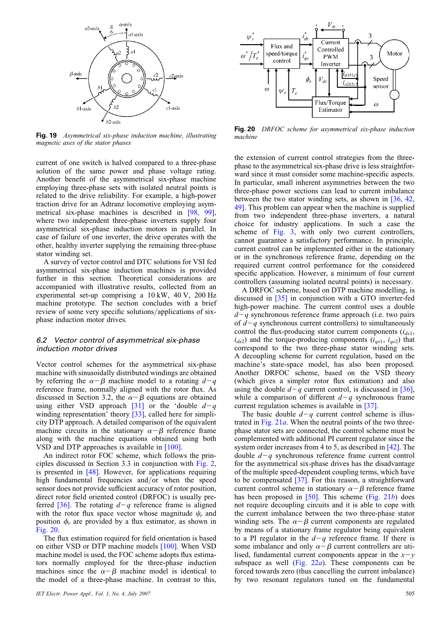<span id="page-16-0"></span>

Fig. 19 Asymmetrical six-phase induction machine, illustrating magnetic axes of the stator phases

current of one switch is halved compared to a three-phase solution of the same power and phase voltage rating. Another benefit of the asymmetrical six-phase machine employing three-phase sets with isolated neutral points is related to the drive reliability. For example, a high-power traction drive for an Adtranz locomotive employing asymmetrical six-phase machines is described in [\[98, 99\],](#page-26-0) where two independent three-phase inverters supply four asymmetrical six-phase induction motors in parallel. In case of failure of one inverter, the drive operates with the other, healthy inverter supplying the remaining three-phase stator winding set.

A survey of vector control and DTC solutions for VSI fed asymmetrical six-phase induction machines is provided further in this section. Theoretical considerations are accompanied with illustrative results, collected from an experimental set-up comprising a 10 kW, 40 V, 200 Hz machine prototype. The section concludes with a brief review of some very specific solutions/applications of sixphase induction motor drives.

## 6.2 Vector control of asymmetrical six-phase induction motor drives

Vector control schemes for the asymmetrical six-phase machine with sinusoidally distributed windings are obtained by referring the  $\alpha-\beta$  machine model to a rotating  $d-q$ reference frame, normally aligned with the rotor flux. As discussed in Section 3.2, the  $\alpha-\beta$  equations are obtained using either VSD approach [\[31\]](#page-25-0) or the 'double  $d-q$ winding representation' theory [\[33\]](#page-25-0), called here for simplicity DTP approach. A detailed comparison of the equivalent machine circuits in the stationary  $\alpha-\beta$  reference frame along with the machine equations obtained using both VSD and DTP approaches is available in [\[100\].](#page-26-0)

An indirect rotor FOC scheme, which follows the principles discussed in Section 3.3 in conjunction with [Fig. 2,](#page-6-0) is presented in [\[48\]](#page-25-0). However, for applications requiring high fundamental frequencies and/or when the speed sensor does not provide sufficient accuracy of rotor position, direct rotor field oriented control (DRFOC) is usually pre-ferred [\[36\].](#page-25-0) The rotating  $d-q$  reference frame is aligned with the rotor flux space vector whose magnitude  $\psi_r$  and position  $\phi_r$  are provided by a flux estimator, as shown in Fig. 20.

The flux estimation required for field orientation is based on either VSD or DTP machine models [\[100\]](#page-26-0). When VSD machine model is used, the FOC scheme adopts flux estimators normally employed for the three-phase induction machines since the  $\alpha-\beta$  machine model is identical to the model of a three-phase machine. In contrast to this,



Fig. 20 DRFOC scheme for asymmetrical six-phase induction machine

the extension of current control strategies from the threephase to the asymmetrical six-phase drive is less straightforward since it must consider some machine-specific aspects. In particular, small inherent asymmetries between the two three-phase power sections can lead to current imbalance between the two stator winding sets, as shown in [\[36, 42,](#page-25-0) [49\]](#page-25-0). This problem can appear when the machine is supplied from two independent three-phase inverters, a natural choice for industry applications. In such a case the scheme of [Fig. 3](#page-6-0), with only two current controllers, cannot guarantee a satisfactory performance. In principle, current control can be implemented either in the stationary or in the synchronous reference frame, depending on the required current control performance for the considered specific application. However, a minimum of four current controllers (assuming isolated neutral points) is necessary.

A DRFOC scheme, based on DTP machine modelling, is discussed in [\[35\]](#page-25-0) in conjunction with a GTO inverter-fed high-power machine. The current control uses a double  $d-q$  synchronous reference frame approach (i.e. two pairs of  $d-q$  synchronous current controllers) to simultaneously control the flux-producing stator current components  $(i_{ds1},$  $i_{ds2}$ ) and the torque-producing components  $(i_{qs1}, i_{qs2})$  that correspond to the two three-phase stator winding sets. A decoupling scheme for current regulation, based on the machine's state-space model, has also been proposed. Another DRFOC scheme, based on the VSD theory (which gives a simpler rotor flux estimation) and also using the double  $d-q$  current control, is discussed in [\[36\]](#page-25-0), while a comparison of different  $d-q$  synchronous frame current regulation schemes is available in [\[37\]](#page-25-0).

The basic double  $d-q$  current control scheme is illustrated in Fig.  $21a$ . When the neutral points of the two threephase stator sets are connected, the control scheme must be complemented with additional PI current regulator since the system order increases from 4 to 5, as described in [\[42\].](#page-25-0) The double  $d-q$  synchronous reference frame current control for the asymmetrical six-phase drives has the disadvantage of the multiple speed-dependent coupling terms, which have to be compensated [\[37\].](#page-25-0) For this reason, a straightforward current control scheme in stationary  $\alpha-\beta$  reference frame has been proposed in  $[50]$ . This scheme ([Fig. 21](#page-17-0)b) does not require decoupling circuits and it is able to cope with the current imbalance between the two three-phase stator winding sets. The  $\alpha-\beta$  current components are regulated by means of a stationary frame regulator being equivalent to a PI regulator in the  $d-q$  reference frame. If there is some imbalance and only  $\alpha-\beta$  current controllers are utilised, fundamental current components appear in the  $x-y$ subspace as well (Fig.  $22a$ ). These components can be forced towards zero (thus cancelling the current imbalance) by two resonant regulators tuned on the fundamental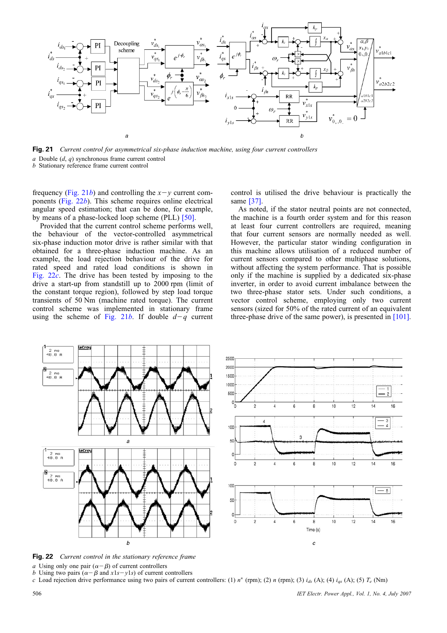<span id="page-17-0"></span>

Fig. 21 Current control for asymmetrical six-phase induction machine, using four current controllers  $a$  Double  $(d, q)$  synchronous frame current control

frequency (Fig. 21b) and controlling the  $x-y$  current components (Fig. 22b). This scheme requires online electrical angular speed estimation; that can be done, for example, by means of a phase-locked loop scheme (PLL) [\[50\].](#page-25-0)

Provided that the current control scheme performs well, the behaviour of the vector-controlled asymmetrical six-phase induction motor drive is rather similar with that obtained for a three-phase induction machine. As an example, the load rejection behaviour of the drive for rated speed and rated load conditions is shown in Fig. 22c. The drive has been tested by imposing to the drive a start-up from standstill up to 2000 rpm (limit of the constant torque region), followed by step load torque transients of 50 Nm (machine rated torque). The current control scheme was implemented in stationary frame using the scheme of Fig. 21b. If double  $d-q$  current

control is utilised the drive behaviour is practically the same [\[37\].](#page-25-0)

As noted, if the stator neutral points are not connected, the machine is a fourth order system and for this reason at least four current controllers are required, meaning that four current sensors are normally needed as well. However, the particular stator winding configuration in this machine allows utilisation of a reduced number of current sensors compared to other multiphase solutions, without affecting the system performance. That is possible only if the machine is supplied by a dedicated six-phase inverter, in order to avoid current imbalance between the two three-phase stator sets. Under such conditions, a vector control scheme, employing only two current sensors (sized for 50% of the rated current of an equivalent three-phase drive of the same power), is presented in  $[101]$ .



Fig. 22 Current control in the stationary reference frame

a Using only one pair  $(\alpha - \beta)$  of current controllers

b Using two pairs  $(\alpha - \beta \text{ and } x1s - y1s)$  of current controllers

c Load rejection drive performance using two pairs of current controllers: (1)  $n^*$  (rpm); (2)  $n$  (rpm); (3)  $i_{ds}$  (A); (4)  $i_{gs}$  (A); (5)  $T_e$  (Nm)

b Stationary reference frame current control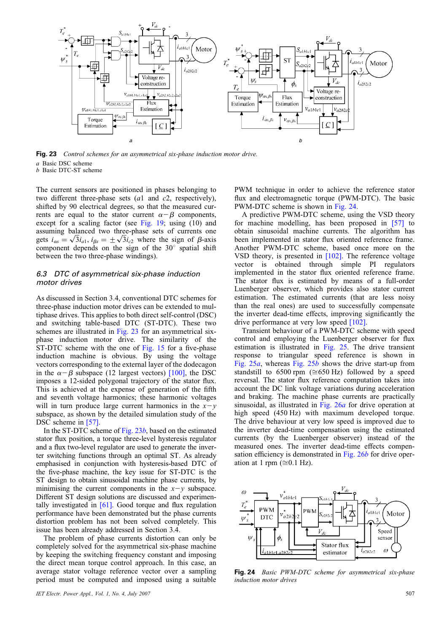

Fig. 23 Control schemes for an asymmetrical six-phase induction motor drive.

a Basic DSC scheme

b Basic DTC-ST scheme

The current sensors are positioned in phases belonging to two different three-phase sets  $(a1 \text{ and } c2, \text{ respectively})$ , shifted by 90 electrical degrees, so that the measured currents are equal to the stator current  $\alpha-\beta$  components, except for a scaling factor (see [Fig. 19;](#page-16-0) using (10) and assuming balanced two three-phase sets of currents one assuming balanced two three-phase sets of currents one<br>gets  $i_{\alpha s} = \sqrt{3}i_{a1}$ ,  $i_{\beta s} = \pm \sqrt{3}i_{c2}$  where the sign of  $\beta$ -axis component depends on the sign of the  $30^{\circ}$  spatial shift between the two three-phase windings).

## 6.3 DTC of asymmetrical six-phase induction motor drives

As discussed in Section 3.4, conventional DTC schemes for three-phase induction motor drives can be extended to multiphase drives. This applies to both direct self-control (DSC) and switching table-based DTC (ST-DTC). These two schemes are illustrated in Fig. 23 for an asymmetrical sixphase induction motor drive. The similarity of the ST-DTC scheme with the one of [Fig. 15](#page-14-0) for a five-phase induction machine is obvious. By using the voltage vectors corresponding to the external layer of the dodecagon in the  $\alpha-\beta$  subspace (12 largest vectors) [\[100\]](#page-26-0), the DSC imposes a 12-sided polygonal trajectory of the stator flux. This is achieved at the expense of generation of the fifth and seventh voltage harmonics; these harmonic voltages will in turn produce large current harmonics in the  $x-y$ subspace, as shown by the detailed simulation study of the DSC scheme in [\[57\]](#page-25-0).

In the ST-DTC scheme of Fig. 23b, based on the estimated stator flux position, a torque three-level hysteresis regulator and a flux two-level regulator are used to generate the inverter switching functions through an optimal ST. As already emphasised in conjunction with hysteresis-based DTC of the five-phase machine, the key issue for ST-DTC is the ST design to obtain sinusoidal machine phase currents, by minimising the current components in the  $x-y$  subspace. Different ST design solutions are discussed and experimentally investigated in [\[61\].](#page-25-0) Good torque and flux regulation performance have been demonstrated but the phase currents distortion problem has not been solved completely. This issue has been already addressed in Section 3.4.

The problem of phase currents distortion can only be completely solved for the asymmetrical six-phase machine by keeping the switching frequency constant and imposing the direct mean torque control approach. In this case, an average stator voltage reference vector over a sampling period must be computed and imposed using a suitable PWM technique in order to achieve the reference stator flux and electromagnetic torque (PWM-DTC). The basic PWM-DTC scheme is shown in Fig. 24.

A predictive PWM-DTC scheme, using the VSD theory for machine modelling, has been proposed in [\[57\]](#page-25-0) to obtain sinusoidal machine currents. The algorithm has been implemented in stator flux oriented reference frame. Another PWM-DTC scheme, based once more on the VSD theory, is presented in [\[102\].](#page-26-0) The reference voltage vector is obtained through simple PI regulators implemented in the stator flux oriented reference frame. The stator flux is estimated by means of a full-order Luenberger observer, which provides also stator current estimation. The estimated currents (that are less noisy than the real ones) are used to successfully compensate the inverter dead-time effects, improving significantly the drive performance at very low speed [\[102\].](#page-26-0)

Transient behaviour of a PWM-DTC scheme with speed control and employing the Luenberger observer for flux estimation is illustrated in [Fig. 25](#page-19-0). The drive transient response to triangular speed reference is shown in Fig.  $25a$ , whereas Fig.  $25b$  shows the drive start-up from standstill to 6500 rpm ( $\approx$ 650 Hz) followed by a speed reversal. The stator flux reference computation takes into account the DC link voltage variations during acceleration and braking. The machine phase currents are practically sinusoidal, as illustrated in [Fig. 26](#page-19-0)a for drive operation at high speed (450 Hz) with maximum developed torque. The drive behaviour at very low speed is improved due to the inverter dead-time compensation using the estimated currents (by the Luenberger observer) instead of the measured ones. The inverter dead-time effects compen-sation efficiency is demonstrated in [Fig. 26](#page-19-0)b for drive operation at 1 rpm ( $\approx 0.1$  Hz).



Fig. 24 Basic PWM-DTC scheme for asymmetrical six-phase induction motor drives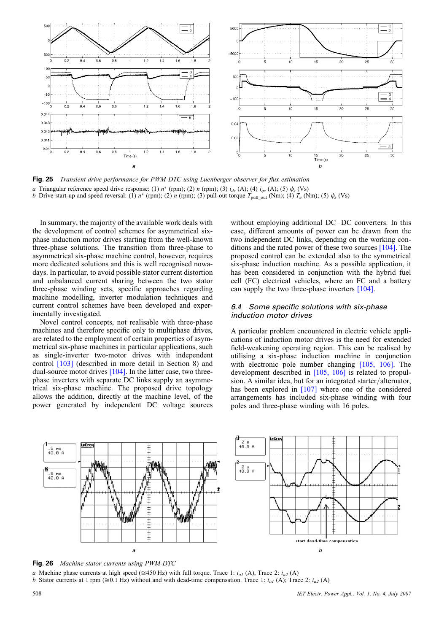<span id="page-19-0"></span>

Fig. 25 Transient drive performance for PWM-DTC using Luenberger observer for flux estimation a Triangular reference speed drive response: (1)  $n^*$  (rpm); (2)  $n$  (rpm); (3)  $i_{ds}$  (A); (4)  $i_{qs}$  (A); (5)  $\psi_s$  (Vs) b Drive start-up and speed reversal: (1)  $n^*$  (rpm); (2)  $n$  (rpm); (3) pull-out torque  $T_{\text{pull-out}}$  (Nm); (4)  $T_e$  (Nm); (5)  $\psi_s$  (Vs)

In summary, the majority of the available work deals with the development of control schemes for asymmetrical sixphase induction motor drives starting from the well-known three-phase solutions. The transition from three-phase to asymmetrical six-phase machine control, however, requires more dedicated solutions and this is well recognised nowadays. In particular, to avoid possible stator current distortion and unbalanced current sharing between the two stator three-phase winding sets, specific approaches regarding machine modelling, inverter modulation techniques and current control schemes have been developed and experimentally investigated.

Novel control concepts, not realisable with three-phase machines and therefore specific only to multiphase drives, are related to the employment of certain properties of asymmetrical six-phase machines in particular applications, such as single-inverter two-motor drives with independent control [\[103\]](#page-26-0) (described in more detail in Section 8) and dual-source motor drives [\[104\]](#page-26-0). In the latter case, two threephase inverters with separate DC links supply an asymmetrical six-phase machine. The proposed drive topology allows the addition, directly at the machine level, of the power generated by independent DC voltage sources

without employing additional DC-DC converters. In this case, different amounts of power can be drawn from the two independent DC links, depending on the working conditions and the rated power of these two sources [\[104\]](#page-26-0). The proposed control can be extended also to the symmetrical six-phase induction machine. As a possible application, it has been considered in conjunction with the hybrid fuel cell (FC) electrical vehicles, where an FC and a battery can supply the two three-phase inverters [\[104\].](#page-26-0)

#### 6.4 Some specific solutions with six-phase induction motor drives

A particular problem encountered in electric vehicle applications of induction motor drives is the need for extended field-weakening operating region. This can be realised by utilising a six-phase induction machine in conjunction with electronic pole number changing [\[105, 106\]](#page-26-0). The development described in [\[105, 106\]](#page-26-0) is related to propulsion. A similar idea, but for an integrated starter/alternator, has been explored in [\[107\]](#page-26-0) where one of the considered arrangements has included six-phase winding with four poles and three-phase winding with 16 poles.





a Machine phase currents at high speed ( $\approx$ 450 Hz) with full torque. Trace 1:  $i_{a1}$  (A), Trace 2:  $i_{a2}$  (A)

b Stator currents at 1 rpm ( $\approx$ 0.1 Hz) without and with dead-time compensation. Trace 1:  $i_{a1}$  (A); Trace 2:  $i_{a2}$  (A)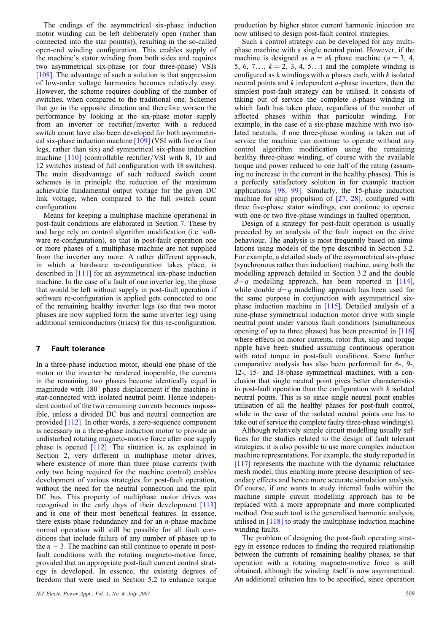The endings of the asymmetrical six-phase induction motor winding can be left deliberately open (rather than connected into the star point $(s)$ , resulting in the so-called open-end winding configuration. This enables supply of the machine's stator winding from both sides and requires two asymmetrical six-phase (or four three-phase) VSIs [\[108\].](#page-26-0) The advantage of such a solution is that suppression of low-order voltage harmonics becomes relatively easy. However, the scheme requires doubling of the number of switches, when compared to the traditional one. Schemes that go in the opposite direction and therefore worsen the performance by looking at the six-phase motor supply from an inverter or rectifier/inverter with a reduced switch count have also been developed for both asymmetrical six-phase induction machine [\[109\]](#page-26-0) (VSI with five or four legs, rather than six) and symmetrical six-phase induction machine [\[110\]](#page-26-0) (controllable rectifier/VSI with 8, 10 and 12 switches instead of full configuration with 18 switches). The main disadvantage of such reduced switch count schemes is in principle the reduction of the maximum achievable fundamental output voltage for the given DC link voltage, when compared to the full switch count configuration.

Means for keeping a multiphase machine operational in post-fault conditions are elaborated in Section 7. These by and large rely on control algorithm modification (i.e. software re-configuration), so that in post-fault operation one or more phases of a multiphase machine are not supplied from the inverter any more. A rather different approach, in which a hardware re-configuration takes place, is described in [\[111\]](#page-26-0) for an asymmetrical six-phase induction machine. In the case of a fault of one inverter leg, the phase that would be left without supply in post-fault operation if software re-configuration is applied gets connected to one of the remaining healthy inverter legs (so that two motor phases are now supplied form the same inverter leg) using additional semiconductors (triacs) for this re-configuration.

## 7 Fault tolerance

In a three-phase induction motor, should one phase of the motor or the inverter be rendered inoperable, the currents in the remaining two phases become identically equal in magnitude with  $180^\circ$  phase displacement if the machine is star-connected with isolated neutral point. Hence independent control of the two remaining currents becomes impossible, unless a divided DC bus and neutral connection are provided [\[112\].](#page-26-0) In other words, a zero-sequence component is necessary in a three-phase induction motor to provide an undisturbed rotating magneto-motive force after one supply phase is opened [\[112\]](#page-26-0). The situation is, as explained in Section 2, very different in multiphase motor drives, where existence of more than three phase currents (with only two being required for the machine control) enables development of various strategies for post-fault operation, without the need for the neutral connection and the split DC bus. This property of multiphase motor drives was recognised in the early days of their development [\[113\]](#page-27-0) and is one of their most beneficial features. In essence, there exists phase redundancy and for an  $n$ -phase machine normal operation will still be possible for all fault conditions that include failure of any number of phases up to the  $n - 3$ . The machine can still continue to operate in postfault conditions with the rotating magneto-motive force, provided that an appropriate post-fault current control strategy is developed. In essence, the existing degrees of freedom that were used in Section 5.2 to enhance torque production by higher stator current harmonic injection are now utilised to design post-fault control strategies.

Such a control strategy can be developed for any multiphase machine with a single neutral point. However, if the machine is designed as  $n = ak$  phase machine ( $a = 3, 4,$ 5, 6, 7...,  $k = 2, 3, 4, 5...$  and the complete winding is configured as  $k$  windings with  $a$  phases each, with  $k$  isolated neutral points and  $k$  independent  $a$ -phase inverters, then the simplest post-fault strategy can be utilised. It consists of taking out of service the complete  $a$ -phase winding in which fault has taken place, regardless of the number of affected phases within that particular winding. For example, in the case of a six-phase machine with two isolated neutrals, if one three-phase winding is taken out of service the machine can continue to operate without any control algorithm modification using the remaining healthy three-phase winding, of course with the available torque and power reduced to one half of the rating (assuming no increase in the current in the healthy phases). This is a perfectly satisfactory solution in for example traction applications [\[98, 99\].](#page-26-0) Similarly, the 15-phase induction machine for ship propulsion of [\[27, 28\]](#page-25-0), configured with three five-phase stator windings, can continue to operate with one or two five-phase windings in faulted operation.

Design of a strategy for post-fault operation is usually preceded by an analysis of the fault impact on the drive behaviour. The analysis is most frequently based on simulations using models of the type described in Section 3.2. For example, a detailed study of the asymmetrical six-phase (synchronous rather than induction) machine, using both the modelling approach detailed in Section 3.2 and the double  $d-q$  modelling approach, has been reported in [\[114\]](#page-27-0), while double  $d-q$  modelling approach has been used for the same purpose in conjunction with asymmetrical sixphase induction machine in [\[115\]](#page-27-0). Detailed analysis of a nine-phase symmetrical induction motor drive with single neutral point under various fault conditions (simultaneous opening of up to three phases) has been presented in [\[116\]](#page-27-0) where effects on motor currents, rotor flux, slip and torque ripple have been studied assuming continuous operation with rated torque in post-fault conditions. Some further comparative analysis has also been performed for 6-, 9-, 12-, 15- and 18-phase symmetrical machines, with a conclusion that single neutral point gives better characteristics in post-fault operation than the configuration with  $k$  isolated neutral points. This is so since single neutral point enables utilisation of all the healthy phases for post-fault control, while in the case of the isolated neutral points one has to take out of service the complete faulty three-phase winding(s).

Although relatively simple circuit modelling usually suffices for the studies related to the design of fault tolerant strategies, it is also possible to use more complex induction machine representations. For example, the study reported in [\[117\]](#page-27-0) represents the machine with the dynamic reluctance mesh model, thus enabling more precise description of secondary effects and hence more accurate simulation analysis. Of course, if one wants to study internal faults within the machine simple circuit modelling approach has to be replaced with a more appropriate and more complicated method. One such tool is the generalised harmonic analysis, utilised in [\[118\]](#page-27-0) to study the multiphase induction machine winding faults.

The problem of designing the post-fault operating strategy in essence reduces to finding the required relationship between the currents of remaining healthy phases, so that operation with a rotating magneto-motive force is still obtained, although the winding itself is now asymmetrical. An additional criterion has to be specified, since operation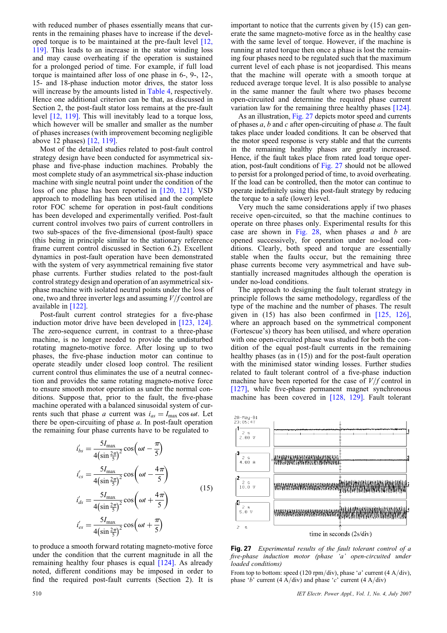with reduced number of phases essentially means that currents in the remaining phases have to increase if the developed torque is to be maintained at the pre-fault level [\[12,](#page-24-0) [119\].](#page-27-0) This leads to an increase in the stator winding loss and may cause overheating if the operation is sustained for a prolonged period of time. For example, if full load torque is maintained after loss of one phase in 6-, 9-, 12-, 15- and 18-phase induction motor drives, the stator loss will increase by the amounts listed in [Table 4](#page-3-0), respectively. Hence one additional criterion can be that, as discussed in Section 2, the post-fault stator loss remains at the pre-fault level [\[12,](#page-24-0) [119\]](#page-27-0). This will inevitably lead to a torque loss, which however will be smaller and smaller as the number of phases increases (with improvement becoming negligible above 12 phases) [\[12,](#page-24-0) [119\].](#page-27-0)

Most of the detailed studies related to post-fault control strategy design have been conducted for asymmetrical sixphase and five-phase induction machines. Probably the most complete study of an asymmetrical six-phase induction machine with single neutral point under the condition of the loss of one phase has been reported in [\[120, 121\]](#page-27-0). VSD approach to modelling has been utilised and the complete rotor FOC scheme for operation in post-fault conditions has been developed and experimentally verified. Post-fault current control involves two pairs of current controllers in two sub-spaces of the five-dimensional (post-fault) space (this being in principle similar to the stationary reference frame current control discussed in Section 6.2). Excellent dynamics in post-fault operation have been demonstrated with the system of very asymmetrical remaining five stator phase currents. Further studies related to the post-fault control strategy design and operation of an asymmetrical sixphase machine with isolated neutral points under the loss of one, two and three inverter legs and assuming  $V/f$  control are available in [\[122\]](#page-27-0).

Post-fault current control strategies for a five-phase induction motor drive have been developed in [\[123, 124\].](#page-27-0) The zero-sequence current, in contrast to a three-phase machine, is no longer needed to provide the undisturbed rotating magneto-motive force. After losing up to two phases, the five-phase induction motor can continue to operate steadily under closed loop control. The resilient current control thus eliminates the use of a neutral connection and provides the same rotating magneto-motive force to ensure smooth motor operation as under the normal conditions. Suppose that, prior to the fault, the five-phase machine operated with a balanced sinusoidal system of currents such that phase a current was  $i_{as} = I_{max} \cos \omega t$ . Let there be open-circuiting of phase  $a$ . In post-fault operation the remaining four phase currents have to be regulated to

$$
i'_{bs} = \frac{5I_{\text{max}}}{4\left(\sin\frac{2\pi}{5}\right)^2}\cos\left(\omega t - \frac{\pi}{5}\right)
$$
  
\n
$$
i'_{cs} = \frac{5I_{\text{max}}}{4\left(\sin\frac{2\pi}{5}\right)^2}\cos\left(\omega t - \frac{4\pi}{5}\right)
$$
  
\n
$$
i'_{ds} = \frac{5I_{\text{max}}}{4\left(\sin\frac{2\pi}{5}\right)^2}\cos\left(\omega t + \frac{4\pi}{5}\right)
$$
  
\n
$$
i'_{es} = \frac{5I_{\text{max}}}{4\left(\sin\frac{2\pi}{5}\right)^2}\cos\left(\omega t + \frac{\pi}{5}\right)
$$
\n(15)

to produce a smooth forward rotating magneto-motive force under the condition that the current magnitude in all the remaining healthy four phases is equal [\[124\].](#page-27-0) As already noted, different conditions may be imposed in order to find the required post-fault currents (Section 2). It is important to notice that the currents given by (15) can generate the same magneto-motive force as in the healthy case with the same level of torque. However, if the machine is running at rated torque then once a phase is lost the remaining four phases need to be regulated such that the maximum current level of each phase is not jeopardised. This means that the machine will operate with a smooth torque at reduced average torque level. It is also possible to analyse in the same manner the fault where two phases become open-circuited and determine the required phase current variation law for the remaining three healthy phases [\[124\].](#page-27-0)

As an illustration, Fig. 27 depicts motor speed and currents of phases  $a, b$  and  $c$  after open-circuiting of phase  $a$ . The fault takes place under loaded conditions. It can be observed that the motor speed response is very stable and that the currents in the remaining healthy phases are greatly increased. Hence, if the fault takes place from rated load torque operation, post-fault conditions of Fig. 27 should not be allowed to persist for a prolonged period of time, to avoid overheating. If the load can be controlled, then the motor can continue to operate indefinitely using this post-fault strategy by reducing the torque to a safe (lower) level.

Very much the same considerations apply if two phases receive open-circuited, so that the machine continues to operate on three phases only. Experimental results for this case are shown in [Fig. 28](#page-22-0), when phases  $a$  and  $b$  are opened successively, for operation under no-load conditions. Clearly, both speed and torque are essentially stable when the faults occur, but the remaining three phase currents become very asymmetrical and have substantially increased magnitudes although the operation is under no-load conditions.

The approach to designing the fault tolerant strategy in principle follows the same methodology, regardless of the type of the machine and the number of phases. The result given in (15) has also been confirmed in [\[125, 126\],](#page-27-0) where an approach based on the symmetrical component (Fortescue's) theory has been utilised, and where operation with one open-circuited phase was studied for both the condition of the equal post-fault currents in the remaining healthy phases (as in (15)) and for the post-fault operation with the minimised stator winding losses. Further studies related to fault tolerant control of a five-phase induction machine have been reported for the case of  $V/f$  control in [\[127\],](#page-27-0) while five-phase permanent magnet synchronous machine has been covered in [\[128, 129\]](#page-27-0). Fault tolerant



Fig. 27 Experimental results of the fault tolerant control of a five-phase induction motor (phase 'a' open-circuited under loaded conditions)

From top to bottom: speed (120 rpm/div), phase 'a' current (4 A/div), phase ' $\vec{b}$ ' current (4 A/div) and phase 'c' current (4 A/div)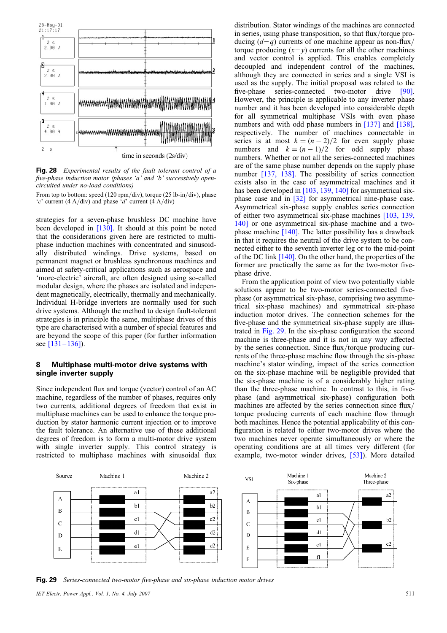<span id="page-22-0"></span>

Fig. 28 Experimental results of the fault tolerant control of a five-phase induction motor (phases 'a' and 'b' successively opencircuited under no-load conditions)

From top to bottom: speed (120 rpm/div), torque (25 lb-in/div), phase 'c' current (4 A/div) and phase 'd' current (4 A/div)

strategies for a seven-phase brushless DC machine have been developed in [\[130\].](#page-27-0) It should at this point be noted that the considerations given here are restricted to multiphase induction machines with concentrated and sinusoidally distributed windings. Drive systems, based on permanent magnet or brushless synchronous machines and aimed at safety-critical applications such as aerospace and 'more-electric' aircraft, are often designed using so-called modular design, where the phases are isolated and independent magnetically, electrically, thermally and mechanically. Individual H-bridge inverters are normally used for such drive systems. Although the method to design fault-tolerant strategies is in principle the same, multiphase drives of this type are characterised with a number of special features and are beyond the scope of this paper (for further information see  $[131 - 136]$ .

## 8 Multiphase multi-motor drive systems with single inverter supply

Since independent flux and torque (vector) control of an AC machine, regardless of the number of phases, requires only two currents, additional degrees of freedom that exist in multiphase machines can be used to enhance the torque production by stator harmonic current injection or to improve the fault tolerance. An alternative use of these additional degrees of freedom is to form a multi-motor drive system with single inverter supply. This control strategy is restricted to multiphase machines with sinusoidal flux

distribution. Stator windings of the machines are connected in series, using phase transposition, so that flux/torque producing  $(d-q)$  currents of one machine appear as non-flux/ torque producing  $(x-y)$  currents for all the other machines and vector control is applied. This enables completely decoupled and independent control of the machines, although they are connected in series and a single VSI is used as the supply. The initial proposal was related to the five-phase series-connected two-motor drive [\[90\].](#page-26-0) However, the principle is applicable to any inverter phase number and it has been developed into considerable depth for all symmetrical multiphase VSIs with even phase numbers and with odd phase numbers in [\[137\]](#page-27-0) and [\[138\]](#page-27-0), respectively. The number of machines connectable in series is at most  $k = (n - 2)/2$  for even supply phase numbers and  $k = (n - 1)/2$  for odd supply phase numbers. Whether or not all the series-connected machines are of the same phase number depends on the supply phase number [\[137, 138\].](#page-27-0) The possibility of series connection exists also in the case of asymmetrical machines and it has been developed in [\[103](#page-26-0), [139, 140\]](#page-27-0) for asymmetrical sixphase case and in [\[32\]](#page-25-0) for asymmetrical nine-phase case. Asymmetrical six-phase supply enables series connection of either two asymmetrical six-phase machines [\[103](#page-26-0), [139,](#page-27-0) [140\]](#page-27-0) or one asymmetrical six-phase machine and a twophase machine [\[140\].](#page-27-0) The latter possibility has a drawback in that it requires the neutral of the drive system to be connected either to the seventh inverter leg or to the mid-point of the DC link [\[140\]](#page-27-0). On the other hand, the properties of the former are practically the same as for the two-motor fivephase drive.

From the application point of view two potentially viable solutions appear to be two-motor series-connected fivephase (or asymmetrical six-phase, comprising two asymmetrical six-phase machines) and symmetrical six-phase induction motor drives. The connection schemes for the five-phase and the symmetrical six-phase supply are illustrated in Fig. 29. In the six-phase configuration the second machine is three-phase and it is not in any way affected by the series connection. Since flux/torque producing currents of the three-phase machine flow through the six-phase machine's stator winding, impact of the series connection on the six-phase machine will be negligible provided that the six-phase machine is of a considerably higher rating than the three-phase machine. In contrast to this, in fivephase (and asymmetrical six-phase) configuration both machines are affected by the series connection since flux/ torque producing currents of each machine flow through both machines. Hence the potential applicability of this configuration is related to either two-motor drives where the two machines never operate simultaneously or where the operating conditions are at all times very different (for example, two-motor winder drives, [\[53\]\)](#page-25-0). More detailed



Fig. 29 Series-connected two-motor five-phase and six-phase induction motor drives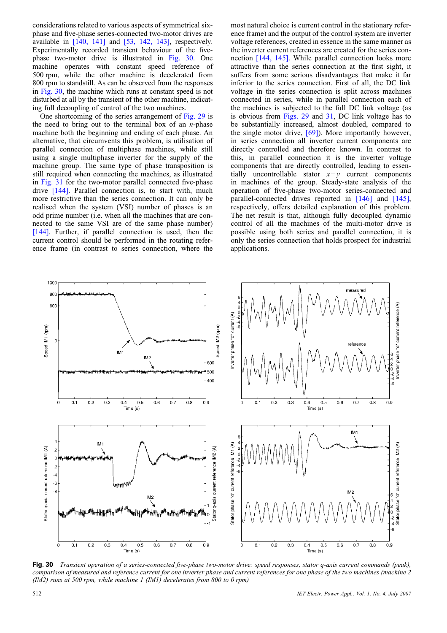considerations related to various aspects of symmetrical sixphase and five-phase series-connected two-motor drives are available in [\[140, 141\]](#page-27-0) and [\[53,](#page-25-0) [142, 143\],](#page-27-0) respectively. Experimentally recorded transient behaviour of the fivephase two-motor drive is illustrated in Fig. 30. One machine operates with constant speed reference of 500 rpm, while the other machine is decelerated from 800 rpm to standstill. As can be observed from the responses in Fig. 30, the machine which runs at constant speed is not disturbed at all by the transient of the other machine, indicating full decoupling of control of the two machines.

One shortcoming of the series arrangement of [Fig. 29](#page-22-0) is the need to bring out to the terminal box of an  $n$ -phase machine both the beginning and ending of each phase. An alternative, that circumvents this problem, is utilisation of parallel connection of multiphase machines, while still using a single multiphase inverter for the supply of the machine group. The same type of phase transposition is still required when connecting the machines, as illustrated in [Fig. 31](#page-24-0) for the two-motor parallel connected five-phase drive [\[144\]](#page-27-0). Parallel connection is, to start with, much more restrictive than the series connection. It can only be realised when the system (VSI) number of phases is an odd prime number (i.e. when all the machines that are connected to the same VSI are of the same phase number) [\[144\].](#page-27-0) Further, if parallel connection is used, then the current control should be performed in the rotating reference frame (in contrast to series connection, where the

most natural choice is current control in the stationary reference frame) and the output of the control system are inverter voltage references, created in essence in the same manner as the inverter current references are created for the series connection [\[144, 145\].](#page-27-0) While parallel connection looks more attractive than the series connection at the first sight, it suffers from some serious disadvantages that make it far inferior to the series connection. First of all, the DC link voltage in the series connection is split across machines connected in series, while in parallel connection each of the machines is subjected to the full DC link voltage (as is obvious from [Figs. 29](#page-22-0) and [31,](#page-24-0) DC link voltage has to be substantially increased, almost doubled, compared to the single motor drive, [\[69\]\)](#page-25-0). More importantly however, in series connection all inverter current components are directly controlled and therefore known. In contrast to this, in parallel connection it is the inverter voltage components that are directly controlled, leading to essentially uncontrollable stator  $x-y$  current components in machines of the group. Steady-state analysis of the operation of five-phase two-motor series-connected and parallel-connected drives reported in [\[146\]](#page-27-0) and [\[145\],](#page-27-0) respectively, offers detailed explanation of this problem. The net result is that, although fully decoupled dynamic control of all the machines of the multi-motor drive is possible using both series and parallel connection, it is only the series connection that holds prospect for industrial applications.



Fig. 30 Transient operation of a series-connected five-phase two-motor drive: speed responses, stator q-axis current commands (peak), comparison of measured and reference current for one inverter phase and current references for one phase of the two machines (machine 2 (IM2) runs at 500 rpm, while machine 1 (IM1) decelerates from 800 to 0 rpm)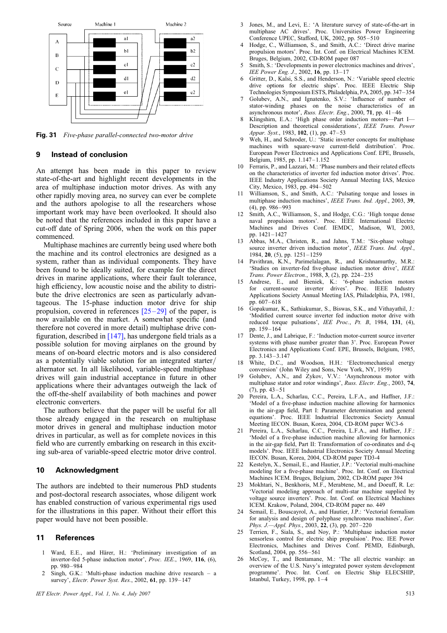<span id="page-24-0"></span>

Fig. 31 Five-phase parallel-connected two-motor drive

## 9 Instead of conclusion

An attempt has been made in this paper to review state-of-the-art and highlight recent developments in the area of multiphase induction motor drives. As with any other rapidly moving area, no survey can ever be complete and the authors apologise to all the researchers whose important work may have been overlooked. It should also be noted that the references included in this paper have a cut-off date of Spring 2006, when the work on this paper commenced.

Multiphase machines are currently being used where both the machine and its control electronics are designed as a system, rather than as individual components. They have been found to be ideally suited, for example for the direct drives in marine applications, where their fault tolerance, high efficiency, low acoustic noise and the ability to distribute the drive electronics are seen as particularly advantageous. The 15-phase induction motor drive for ship propulsion, covered in references  $\left[25 - 29\right]$  of the paper, is now available on the market. A somewhat specific (and therefore not covered in more detail) multiphase drive configuration, described in [\[147\],](#page-27-0) has undergone field trials as a possible solution for moving airplanes on the ground by means of on-board electric motors and is also considered as a potentially viable solution for an integrated starter/ alternator set. In all likelihood, variable-speed multiphase drives will gain industrial acceptance in future in other applications where their advantages outweigh the lack of the off-the-shelf availability of both machines and power electronic converters.

The authors believe that the paper will be useful for all those already engaged in the research on multiphase motor drives in general and multiphase induction motor drives in particular, as well as for complete novices in this field who are currently embarking on research in this exciting sub-area of variable-speed electric motor drive control.

### 10 Acknowledgment

The authors are indebted to their numerous PhD students and post-doctoral research associates, whose diligent work has enabled construction of various experimental rigs used for the illustrations in this paper. Without their effort this paper would have not been possible.

#### 11 References

- Ward, E.E., and Härer, H.: 'Preliminary investigation of an invertor-fed 5-phase induction motor', Proc. IEE., 1969, 116, (6), pp. 980–984
- 2 Singh, G.K.: 'Multi-phase induction machine drive research a survey', Electr. Power Syst. Res., 2002, 61, pp. 139–147
- 3 Jones, M., and Levi, E.: 'A literature survey of state-of-the-art in multiphase AC drives'. Proc. Universities Power Engineering Conference UPEC, Stafford, UK, 2002, pp. 505-510
- 4 Hodge, C., Williamson, S., and Smith, A.C.: 'Direct drive marine propulsion motors'. Proc. Int. Conf. on Electrical Machines ICEM. Bruges, Belgium, 2002, CD-ROM paper 087
- 5 Smith, S.: 'Developments in power electronics machines and drives', IEE Power Eng. J., 2002,  $16$ , pp. 13–17
- 6 Gritter, D., Kalsi, S.S., and Henderson, N.: 'Variable speed electric drive options for electric ships'. Proc. IEEE Electric Ship Technologies Symposium ESTS, Philadelphia, PA, 2005, pp. 347–354
- 7 Golubev, A.N., and Ignatenko, S.V.: 'Influence of number of stator-winding phases on the noise characteristics of an asynchronous motor', Russ. Electr. Eng., 2000, 71, pp. 41–46
- 8 Klingshirn, E.A.: 'High phase order induction motors—Part I— Description and theoretical considerations', IEEE Trans. Power Appar. Syst., 1983, 102, (1), pp. 47–53
- 9 Weh, H., and Schroder, U.: 'Static inverter concepts for multiphase machines with square-wave current-field distribution'. Proc. European Power Electronics and Applications Conf. EPE, Brussels, Belgium, 1985, pp. 1.147–1.152
- Ferraris, P., and Lazzari, M.: 'Phase numbers and their related effects on the characteristics of inverter fed induction motor drives'. Proc. IEEE Industry Applications Society Annual Meeting IAS, Mexico City, Mexico, 1983, pp. 494–502
- 11 Williamson, S., and Smith, A.C.: 'Pulsating torque and losses in multiphase induction machines', IEEE Trans. Ind. Appl., 2003, 39, (4), pp. 986–993
- 12 Smith, A.C., Williamson, S., and Hodge, C.G.: 'High torque dense naval propulsion motors'. Proc. IEEE International Electric Machines and Drives Conf. IEMDC, Madison, WI, 2003, pp. 1421–1427
- 13 Abbas, M.A., Christen, R., and Jahns, T.M.: 'Six-phase voltage source inverter driven induction motor', IEEE Trans. Ind. Appl., 1984, 20, (5), pp. 1251–1259
- 14 Pavithran, K.N., Parimelalagan, R., and Krishnamurthy, M.R.: 'Studies on inverter-fed five-phase induction motor drive', IEEE Trans. Power Electron., 1988, 3, (2), pp. 224–235
- 15 Andrese, E., and Bieniek, K.: '6-phase induction motors for current-source inverter drives'. Proc. IEEE Industry Applications Society Annual Meeting IAS, Philadelphia, PA, 1981, pp.  $607-618$
- 16 Gopakumar, K., Sathiakumar, S., Biswas, S.K., and Vithayathil, J.: 'Modified current source inverter fed induction motor drive with reduced torque pulsations', IEE Proc., Pt. B, 1984, 131, (4), pp. 159–164
- Dente, J., and Labrique, F.: 'Induction motor-current source inverter systems with phase number greater than 3'. Proc. European Power Electronics and Applications Conf. EPE, Brussels, Belgium, 1985, pp. 3.143– 3.147
- 18 White, D.C., and Woodson, H.H.: 'Electromechanical energy conversion' (John Wiley and Sons, New York, NY, 1959)
- 19 Golubev, A.N., and Zykov, V.V.: 'Asynchronous motor with multiphase stator and rotor windings', Russ. Electr. Eng., 2003, 74,  $(7)$ , pp. 43–51
- 20 Pereira, L.A., Scharlau, C.C., Pereira, L.F.A., and Haffner, J.F.: 'Model of a five-phase induction machine allowing for harmonics in the air-gap field, Part I: Parameter determination and general equations'. Proc. IEEE Industrial Electronics Society Annual Meeting IECON. Busan, Korea, 2004, CD-ROM paper WC3-6
- Pereira, L.A., Scharlau, C.C., Pereira, L.F.A., and Haffner, J.F.: 'Model of a five-phase induction machine allowing for harmonics in the air-gap field, Part II: Transformation of co-ordinates and d-q models'. Proc. IEEE Industrial Electronics Society Annual Meeting IECON. Busan, Korea, 2004, CD-ROM paper TD3-4
- 22 Kestelyn, X., Semail, E., and Hautier, J.P.: 'Vectorial multi-machine modeling for a five-phase machine'. Proc. Int. Conf. on Electrical Machines ICEM. Bruges, Belgium, 2002, CD-ROM paper 394
- Mokhtari, N., Benkhoris, M.F., Merabtene, M., and Doeuff, R. Le: 'Vectorial modeling approach of multi-star machine supplied by voltage source inverters'. Proc. Int. Conf. on Electrical Machines ICEM. Krakow, Poland, 2004, CD-ROM paper no. 449
- Semail, E., Bouscayrol, A., and Hautier, J.P.: 'Vectorial formalism for analysis and design of polyphase synchronous machines', Eur. Phys. J.—Appl. Phys., 2003, 22, (3), pp. 207–220
- 25 Terrien, F., Siala, S., and Noy, P.: 'Multiphase induction motor sensorless control for electric ship propulsion'. Proc. IEE Power Electronics, Machines and Drives Conf. PEMD, Edinburgh, Scotland, 2004, pp. 556–561
- 26 McCoy, T., and Bentamane, M.: 'The all electric warship: an overview of the U.S. Navy's integrated power system development programme'. Proc. Int. Conf. on Electric Ship ELECSHIP, Istanbul, Turkey, 1998, pp. 1 –4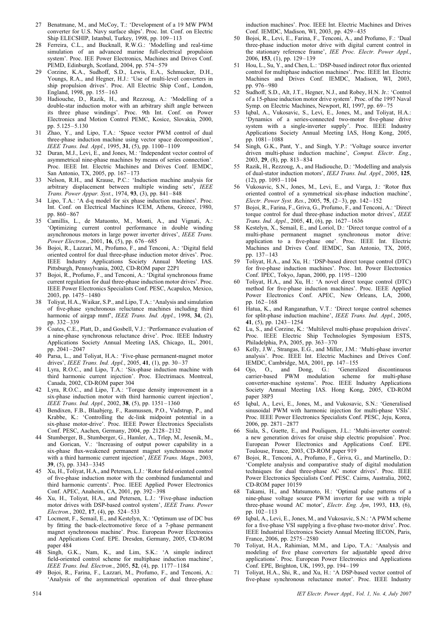- <span id="page-25-0"></span>27 Benatmane, M., and McCoy, T.: 'Development of a 19 MW PWM converter for U.S. Navy surface ships'. Proc. Int. Conf. on Electric Ship ELECSHIP, Istanbul, Turkey, 1998, pp. 109-113
- 28 Ferreira, C.L., and Bucknall, R.W.G.: 'Modelling and real-time simulation of an advanced marine full-electrical propulsion system'. Proc. IEE Power Electronics, Machines and Drives Conf. PEMD, Edinburgh, Scotland, 2004, pp. 574-579
- Corzine, K.A., Sudhoff, S.D., Lewis, E.A., Schmucker, D.H., Youngs, R.A., and Hegner, H.J.: 'Use of multi-level converters in ship propulsion drives'. Proc. All Electric Ship Conf., London, England, 1998, pp. 155-163
- 30 Hadiouche, D., Razik, H., and Rezzoug, A.: 'Modelling of a double-star induction motor with an arbitrary shift angle between its three phase windings'. Proc. 9th Int. Conf. on Power Electronics and Motion Control PEMC, Kosice, Slovakia, 2000, pp. 5.125–5.130
- 31 Zhao, Y., and Lipo, T.A.: 'Space vector PWM control of dual three-phase induction machine using vector space decomposition', IEEE Trans. Ind. Appl., 1995, 31, (5), pp. 1100-1109
- 32 Duran, M.J., Levi, E., and Jones, M.: 'Independent vector control of asymmetrical nine-phase machines by means of series connection'. Proc. IEEE Int. Electric Machines and Drives Conf. IEMDC, San Antonio, TX, 2005, pp. 167–173
- 33 Nelson, R.H., and Krause, P.C.: 'Induction machine analysis for arbitrary displacement between multiple winding sets', IEEE Trans. Power Appar. Syst., 1974, 93, (3), pp. 841 –848
- 34 Lipo, T.A.: 'A d-q model for six phase induction machines'. Proc. Int. Conf. on Electrical Machines ICEM, Athens, Greece, 1980, pp. 860–867
- 35 Camillis, L., de Matuonto, M., Monti, A., and Vignati, A.: 'Optimizing current control performance in double winding asynchronous motors in large power inverter drives', IEEE Trans. Power Electron., 2001, **16**, (5), pp. 676–685
- 36 Bojoi, R., Lazzari, M., Profumo, F., and Tenconi, A.: 'Digital field oriented control for dual three-phase induction motor drives'. Proc. IEEE Industry Applications Society Annual Meeting IAS. Pittsburgh, Pennsylvania, 2002, CD-ROM paper 22P1
- 37 Bojoi, R., Profumo, F., and Tenconi, A.: 'Digital synchronous frame current regulation for dual three-phase induction motor drives'. Proc. IEEE Power Electronics Specialists Conf. PESC, Acapulco, Mexico, 2003, pp. 1475– 1480
- 38 Toliyat, H.A., Waikar, S.P., and Lipo, T.A.: 'Analysis and simulation of five-phase synchronous reluctance machines including third harmonic of airgap mmf', IEEE Trans. Ind. Appl., 1998, 34, (2), pp. 332–339
- 39 Coates, C.E., Platt, D., and Gosbell, V.J.: 'Performance evaluation of a nine-phase synchronous reluctance drive'. Proc. IEEE Industry Applications Society Annual Meeting IAS, Chicago, IL, 2001, pp. 2041– 2047
- 40 Parsa, L., and Toliyat, H.A.: 'Five-phase permanent-magnet motor drives', IEEE Trans. Ind. Appl., 2005, 41, (1), pp. 30–37
- 41 Lyra, R.O.C., and Lipo, T.A.: 'Six-phase induction machine with third harmonic current injection'. Proc. Electrimacs. Montreal, Canada, 2002, CD-ROM paper 304
- 42 Lyra, R.O.C., and Lipo, T.A.: 'Torque density improvement in a six-phase induction motor with third harmonic current injection', IEEE Trans. Ind. Appl., 2002, 38, (5), pp. 1351–1360
- Bendixen, F.B., Blaabjerg, F., Rasmussen, P.O., Vadstrup, P., and Krabbe, K.: 'Controlling the dc-link midpoint potential in a six-phase motor-drive'. Proc. IEEE Power Electronics Specialists Conf. PESC, Aachen, Germany, 2004, pp. 2128– 2132
- 44 Stumberger, B., Stumberger, G., Hamler, A., Trlep, M., Jesenik, M., and Gorican, V.: 'Increasing of output power capability in a six-phase flux-weakened permanent magnet synchronous motor with a third harmonic current injection', IEEE Trans. Magn., 2003, 39, (5), pp. 3343–3345
- 45 Xu, H., Toliyat, H.A., and Petersen, L.J.: 'Rotor field oriented control of five-phase induction motor with the combined fundamental and third harmonic currents'. Proc. IEEE Applied Power Electronics Conf. APEC, Anaheim, CA, 2001, pp. 392– 398
- 46 Xu, H., Toliyat, H.A., and Petersen, L.J.: 'Five-phase induction motor drives with DSP-based control system', IEEE Trans. Power Electron., 2002, 17, (4), pp. 524-533
- Locment, F., Semail, E., and Kestelyn, X.: 'Optimum use of DC bus by fitting the back-electromotive force of a 7-phase permanent magnet synchronous machine'. Proc. European Power Electronics and Applications Conf. EPE. Dresden, Germany, 2005, CD-ROM paper 484
- 48 Singh, G.K., Nam, K., and Lim, S.K.: 'A simple indirect field-oriented control scheme for multiphase induction machine', IEEE Trans. Ind. Electron., 2005, 52, (4), pp. 1177–1184
- 49 Bojoi, R., Farina, F., Lazzari, M., Profumo, F., and Tenconi, A.: 'Analysis of the asymmetrical operation of dual three-phase

induction machines'. Proc. IEEE Int. Electric Machines and Drives Conf. IEMDC, Madison, WI, 2003, pp. 429–435

- 50 Bojoi, R., Levi, E., Farina, F., Tenconi, A., and Profumo, F.: 'Dual three-phase induction motor drive with digital current control in the stationary reference frame', IEE Proc. Electr. Power Appl., 2006, 153, (1), pp. 129–139
- 51 Hou, L., Su, Y., and Chen, L.: 'DSP-based indirect rotor flux oriented control for multiphase induction machines'. Proc. IEEE Int. Electric Machines and Drives Conf. IEMDC, Madison, WI, 2003, pp. 976– 980
- 52 Sudhoff, S.D., Alt, J.T., Hegner, N.J., and Robey, H.N. Jr.: 'Control of a 15-phase induction motor drive system'. Proc. of the 1997 Naval Symp. on Electric Machines, Newport, RI, 1997, pp. 69–75
- 53 Iqbal, A., Vukosavic, S., Levi, E., Jones, M., and Toliyat, H.A.: 'Dynamics of a series-connected two-motor five-phase drive system with a single-inverter supply'. Proc. IEEE Industry Applications Society Annual Meeting IAS, Hong Kong, 2005, pp. 1081–1088
- 54 Singh, G.K., Pant, Y., and Singh, Y.P.: 'Voltage source inverter driven multi-phase induction machine', Comput. Electr. Eng., 2003, 29, (8), pp. 813– 834
- 55 Razik, H., Rezzoug, A., and Hadiouche, D.: 'Modelling and analysis of dual-stator induction motors', IEEJ Trans. Ind. Appl., 2005, 125, (12), pp. 1093– 1104
- 56 Vukosavic, S.N., Jones, M., Levi, E., and Varga, J.: 'Rotor flux oriented control of a symmetrical six-phase induction machine', Electr. Power Syst. Res., 2005, 75,  $(2-3)$ , pp. 142–152
- 57 Bojoi, R., Farina, F., Griva, G., Profumo, F., and Tenconi, A.: 'Direct torque control for dual three-phase induction motor drives', IEEE Trans. Ind. Appl., 2005, 41, (6), pp. 1627– 1636
- 58 Kestelyn, X., Semail, E., and Loriol, D.: 'Direct torque control of a multi-phase permanent magnet synchronous motor drive: application to a five-phase one'. Proc. IEEE Int. Electric Machines and Drives Conf. IEMDC, San Antonio, TX, 2005, pp. 137– 143
- 59 Toliyat, H.A., and Xu, H.: 'DSP-based direct torque control (DTC) for five-phase induction machines'. Proc. Int. Power Electronics Conf. IPEC, Tokyo, Japan, 2000, pp. 1195– 1200
- 60 Toliyat, H.A., and Xu, H.: 'A novel direct torque control (DTC) method for five-phase induction machines'. Proc. IEEE Applied Power Electronics Conf. APEC, New Orleans, LA, 2000, pp. 162– 168
- 61 Hatua, K., and Ranganathan, V.T.: 'Direct torque control schemes for split-phase induction machine', IEEE Trans. Ind. Appl., 2005, 41, (5), pp. 1243– 1254
- Lu, S., and Corzine, K.: 'Multilevel multi-phase propulsion drives'. Proc. IEEE Electric Ship Technologies Symposium ESTS, Philadelphia, PA, 2005, pp. 363 –370
- 63 Kelly, J.W., Strangas, E.G., and Miller, J.M.: 'Multi-phase inverter analysis'. Proc. IEEE Int. Electric Machines and Drives Conf. IEMDC, Cambridge, MA, 2001, pp. 147–155
- Ojo, O., and Dong, G.: 'Generalized discontinuous carrier-based PWM modulation scheme for multi-phase converter-machine systems'. Proc. IEEE Industry Applications Society Annual Meeting IAS. Hong Kong, 2005, CD-ROM paper 38P3
- 65 Iqbal, A., Levi, E., Jones, M., and Vukosavic, S.N.: 'Generalised sinusoidal PWM with harmonic injection for multi-phase VSIs'. Proc. IEEE Power Electronics Specialists Conf. PESC, Jeju, Korea, 2006, pp. 2871–2877
- 66 Siala, S., Guette, E., and Pouliquen, J.L.: 'Multi-inverter control: a new generation drives for cruise ship electric propulsion'. Proc. European Power Electronics and Applications Conf. EPE. Toulouse, France, 2003, CD-ROM paper 919
- 67 Bojoi, R., Tenconi, A., Profumo, F., Griva, G., and Martinello, D.: 'Complete analysis and comparative study of digital modulation techniques for dual three-phase AC motor drives'. Proc. IEEE Power Electronics Specialists Conf. PESC. Cairns, Australia, 2002, CD-ROM paper 10159
- 68 Takami, H., and Matsumoto, H.: 'Optimal pulse patterns of a nine-phase voltage source PWM inverter for use with a triple three-phase wound AC motor', Electr. Eng. Jpn, 1993, 113, (6), pp. 102– 113
- Iqbal, A., Levi, E., Jones, M., and Vukosavic, S.N.: 'A PWM scheme for a five-phase VSI supplying a five-phase two-motor drive'. Proc. IEEE Industrial Electronics Society Annual Meeting IECON, Paris, France, 2006, pp. 2575–2580
- 70 Toliyat, H.A., Rahimian, M.M., and Lipo, T.A.: 'Analysis and modeling of five phase converters for adjustable speed drive applications'. Proc. European Power Electronics and Applications Conf. EPE, Brighton, UK, 1993, pp. 194 –199
- 71 Toliyat, H.A., Shi, R., and Xu, H.: 'A DSP-based vector control of five-phase synchronous reluctance motor'. Proc. IEEE Industry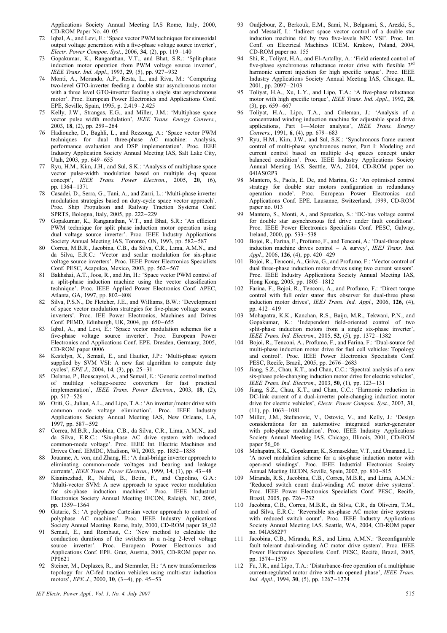Applications Society Annual Meeting IAS Rome, Italy, 2000, CD-ROM Paper No. 40\_05

- <span id="page-26-0"></span>72 Iqbal, A., and Levi, E.: 'Space vector PWM techniques for sinusoidal output voltage generation with a five-phase voltage source inverter', Electr. Power Compon. Syst., 2006, 34, (2), pp. 119– 140
- 73 Gopakumar, K., Ranganthan, V.T., and Bhat, S.R.: 'Split-phase induction motor operation from PWM voltage source inverter', IEEE Trans. Ind. Appl., 1993, 29, (5), pp. 927–932
- 74 Monti, A., Morando, A.P., Resta, L., and Riva, M.: 'Comparing two-level GTO-inverter feeding a double star asynchronous motor with a three level GTO-inverter feeding a single star asynchronous motor'. Proc. European Power Electronics and Applications Conf. EPE, Seville, Spain, 1995, p. 2.419– 2.425
- 75 Kelly, J.W., Strangas, E.G., and Miller, J.M.: 'Multiphase space vector pulse width modulation', IEEE Trans. Energy Convers., 2003, 18, (2), pp. 259–264
- 76 Hadiouche, D., Baghli, L., and Rezzoug, A.: 'Space vector PWM techniques for dual three-phase AC machine: Analysis, performance evaluation and DSP implementation'. Proc. IEEE Industry Application Society Annual Meeting IAS, Salt Lake City, Utah, 2003, pp. 649-655
- 77 Ryu, H.M., Kim, J.H., and Sul, S.K.: 'Analysis of multiphase space vector pulse-width modulation based on multiple d-q spaces concept<sup>5</sup>, IEEE Trans. Power Electron.,  $2005$ ,  $20$ ,  $(6)$ , pp. 1364– 1371
- 78 Casadei, D., Serra, G., Tani, A., and Zarri, L.: 'Multi-phase inverter modulation strategies based on duty-cycle space vector approach'. Proc. Ship Propulsion and Railway Traction Systems Conf. SPRTS, Bologna, Italy, 2005, pp. 222– 229
- 79 Gopakumar, K., Ranganathan, V.T., and Bhat, S.R.: 'An efficient PWM technique for split phase induction motor operation using dual voltage source inverter'. Proc. IEEE Industry Applications Society Annual Meeting IAS, Toronto, ON, 1993, pp. 582–587
- 80 Correa, M.B.R., Jacobina, C.B., da Silva, C.R., Lima, A.M.N., and da Silva, E.R.C.: 'Vector and scalar modulation for six-phase voltage source inverters'. Proc. IEEE Power Electronics Specialists Conf. PESC, Acapulco, Mexico, 2003, pp. 562-567
- 81 Bakhshai, A.T., Joos, R., and Jin, H.: 'Space vector PWM control of a split-phase induction machine using the vector classification technique'. Proc. IEEE Applied Power Electronics Conf. APEC, Atlanta, GA, 1997, pp. 802– 808
- 82 Silva, P.S.N., De Fletcher, J.E., and Williams, B.W.: 'Development of space vector modulation strategies for five-phase voltage source inverters'. Proc. IEE Power Electronics, Machines and Drives Conf. PEMD, Edinburgh, UK, 2004, pp. 650-655
- 83 Iqbal, A., and Levi, E.: 'Space vector modulation schemes for a five-phase voltage source inverter'. Proc. European Power Electronics and Applications Conf. EPE. Dresden, Germany, 2005, CD-ROM paper 0006
- 84 Kestelyn, X., Semail, E., and Hautier, J.P.: 'Multi-phase system supplied by SVM VSI: A new fast algorithm to compute duty cycles', *EPE J.*, 2004, 14, (3), pp. 25–31
- 85 Delarue, P., Bouscayrol, A., and Semail, E.: 'Generic control method of multileg voltage-source converters for fast practical implementation', IEEE Trans. Power Electron., 2003, 18, (2), pp. 517–526
- 86 Oriti, G., Julian, A.L., and Lipo, T.A.: 'An inverter/motor drive with common mode voltage elimination'. Proc. IEEE Industry Applications Society Annual Meeting IAS, New Orleans, LA, 1997, pp. 587– 592
- 87 Correa, M.B.R., Jacobina, C.B., da Silva, C.R., Lima, A.M.N., and da Silva, E.R.C.: 'Six-phase AC drive system with reduced common-mode voltage'. Proc. IEEE Int. Electric Machines and Drives Conf. IEMDC, Madison, WI, 2003, pp. 1852–1858
- 88 Jouanne, A. von, and Zhang, H.: 'A dual-bridge inverter approach to eliminating common-mode voltages and bearing and leakage currents', IEEE Trans. Power Electron., 1999, 14, (1), pp. 43– 48
- 89 Kianinezhad, R., Nahid, B., Betin, F., and Capolino, G.A.: 'Multi-vector SVM: A new approach to space vector modulation for six-phase induction machines'. Proc. IEEE Industrial Electronics Society Annual Meeting IECON, Raleigh, NC, 2005, pp. 1359– 1364
- 90 Gataric, S.: 'A polyphase Cartesian vector approach to control of polyphase AC machines'. Proc. IEEE Industry Applications Society Annual Meeting. Rome, Italy, 2000, CD-ROM paper 38\_02
- 91 Semail, E., and Rombaut, C.: 'New method to calculate the conduction durations of the switches in a n-leg 2-level voltage source inverter'. Proc. European Power Electronics and Applications Conf. EPE. Graz, Austria, 2003, CD-ROM paper no. PP0621
- 92 Steiner, M., Deplazes, R., and Stemmler, H.: 'A new transformerless topology for AC-fed traction vehicles using multi-star induction motors', *EPE J.*, 2000, 10, (3-4), pp. 45-53
- 93 Oudjebour, Z., Berkouk, E.M., Sami, N., Belgasmi, S., Arezki, S., and Messaif, I.: 'Indirect space vector control of a double star induction machine fed by two five-levels NPC VSI'. Proc. Int. Conf. on Electrical Machines ICEM. Krakow, Poland, 2004, CD-ROM paper no. 155
- Shi, R., Toliyat, H.A., and El-Antalby, A.: 'Field oriented control of five-phase synchronous reluctance motor drive with flexible 3<sup>rd</sup> harmonic current injection for high specific torque'. Proc. IEEE Industry Applications Society Annual Meeting IAS, Chicago, IL, 2001, pp. 2097– 2103
- 95 Toliyat, H.A., Xu, L.Y., and Lipo, T.A.: 'A five-phase reluctance motor with high specific torque', IEEE Trans. Ind. Appl., 1992, 28,  $(3)$ , pp.  $659-\bar{667}$
- 96 Toliyat, H.A., Lipo, T.A., and Coleman, J.: 'Analysis of a concentrated winding induction machine for adjustable speed drive applications, Part 1-Motor analysis', IEEE Trans. Energy  $Convers., 1991, 6, (4), pp. 679-683$
- 97 Ryu, H.M., Kim, J.W., and Sul, S.K.: 'Synchronous frame current control of multi-phase synchronous motor, Part I: Modeling and current control based on multiple d-q spaces concept under balanced condition'. Proc. IEEE Industry Applications Society Annual Meeting IAS. Seattle, WA, 2004, CD-ROM paper no. 04IAS02P3
- 98 Mantero, S., Paola, E. De, and Marina, G.: 'An optimised control strategy for double star motors configuration in redundancy operation mode'. Proc. European Power Electronics and Applications Conf. EPE. Lausanne, Switzerland, 1999, CD-ROM paper no. 013
- 99 Mantero, S., Monti, A., and Spreafico, S.: 'DC-bus voltage control for double star asynchronous fed drive under fault conditions'. Proc. IEEE Power Electronics Specialists Conf. PESC, Galway, Ireland, 2000, pp. 533–538
- Bojoi, R., Farina, F., Profumo, F., and Tenconi, A.: 'Dual-three phase induction machine drives control – A survey', IEEJ Trans. Ind. Appl., 2006, 126, (4), pp. 420–429
- 101 Bojoi, R., Tenconi, A., Griva, G., and Profumo, F.: 'Vector control of dual three-phase induction motor drives using two current sensors'. Proc. IEEE Industry Applications Society Annual Meeting IAS, Hong Kong, 2005, pp. 1805– 1812
- 102 Farina, F., Bojoi, R., Tenconi, A., and Profumo, F.: 'Direct torque control with full order stator flux observer for dual-three phase induction motor drives', IEEJ Trans. Ind. Appl., 2006, 126, (4), pp. 412–419
- 103 Mohapatra, K.K., Kanchan, R.S., Baiju, M.R., Tekwani, P.N., and Gopakumar, K.: 'Independent field-oriented control of two split-phase induction motors from a single six-phase inverter', IEEE Trans. Ind. Electron., 2005, 52, (5), pp. 1372–1382
- 104 Bojoi, R., Tenconi, A., Profumo, F., and Farina, F.: 'Dual-source fed multi-phase induction motor drive for fuel cell vehicles: Topology and control'. Proc. IEEE Power Electronics Specialists Conf. PESC, Recife, Brazil, 2005, pp. 2676–2683
- 105 Jiang, S.Z., Chau, K.T., and Chan, C.C.: 'Spectral analysis of a new six-phase pole-changing induction motor drive for electric vehicles', IEEE Trans. Ind. Electron., 2003, 50, (1), pp. 123– 131
- 106 Jiang, S.Z., Chau, K.T., and Chan, C.C.: 'Harmonic reduction in DC-link current of a dual-inverter pole-changing induction motor drive for electric vehicles', Electr. Power Compon. Syst., 2003, 31, (11), pp. 1063– 1081
- 107 Miller, J.M., Stefanovic, V., Ostovic, V., and Kelly, J.: 'Design considerations for an automotive integrated starter-generator with pole-phase modulation'. Proc. IEEE Industry Applications Society Annual Meeting IAS. Chicago, Illinois, 2001, CD-ROM paper 56\_06
- 108 Mohapatra, K.K., Gopakumar, K., Somasekhar, V.T., and Umanand, L.: 'A novel modulation scheme for a six-phase induction motor with open-end windings'. Proc. IEEE Industrial Electronics Society Annual Meeting IECON, Seville, Spain, 2002, pp. 810–815
- 109 Miranda, R.S., Jacobina, C.B., Correa, M.B.R., and Lima, A.M.N.: 'Reduced switch count dual-winding AC motor drive systems'. Proc. IEEE Power Electronics Specialists Conf. PESC, Recife, Brazil, 2005, pp. 726–732
- 110 Jacobina, C.B., Correa, M.B.R., da Silva, C.R., da Oliveira, T.M., and Silva, E.R.C.: 'Reversible six-phase AC motor drive systems with reduced switch count'. Proc. IEEE Industry Applications Society Annual Meeting IAS. Seattle, WA, 2004, CD-ROM paper no. 04IAS62P7
- 111 Jacobina, C.B., Miranda, R.S., and Lima, A.M.N.: 'Reconfigurable fault tolerant dual-winding AC motor drive system'. Proc. IEEE Power Electronics Specialists Conf. PESC, Recife, Brazil, 2005, pp. 1574–1579
- 112 Fu, J.R., and Lipo, T.A.: 'Disturbance-free operation of a multiphase current-regulated motor drive with an opened phase', IEEE Trans. Ind. Appl., 1994, 30, (5), pp. 1267– 1274